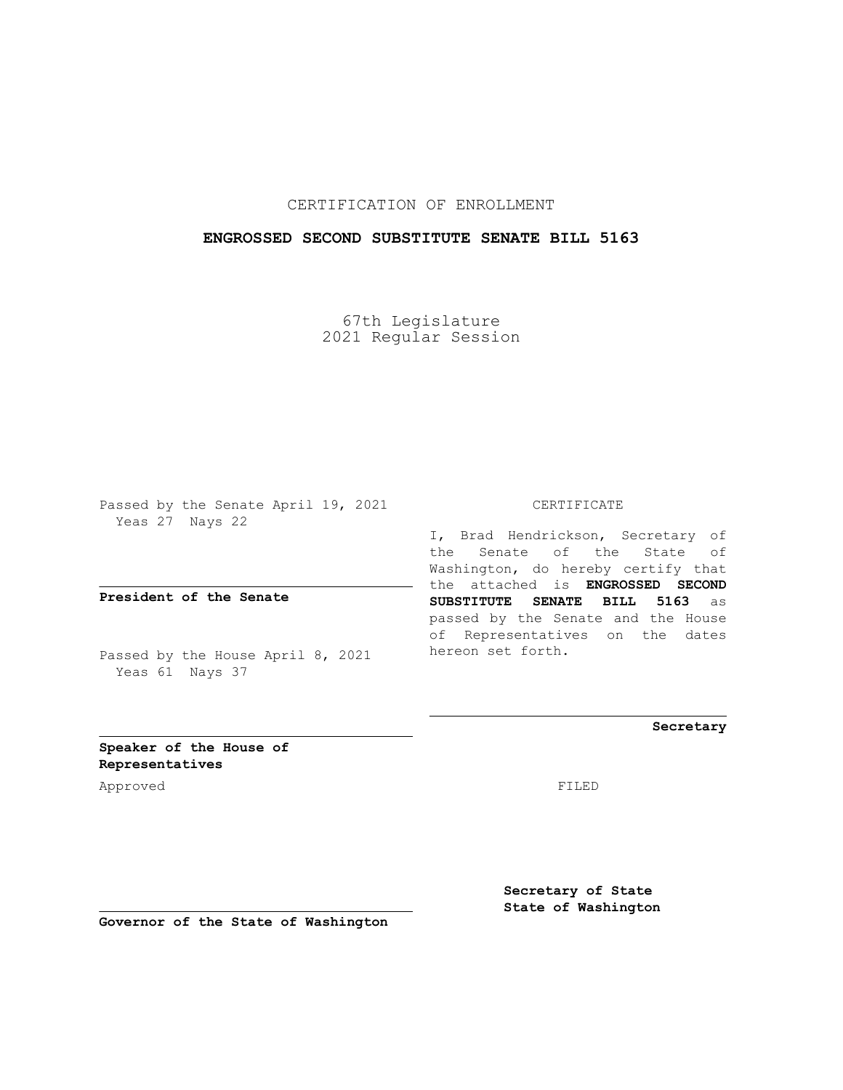## CERTIFICATION OF ENROLLMENT

## **ENGROSSED SECOND SUBSTITUTE SENATE BILL 5163**

67th Legislature 2021 Regular Session

Passed by the Senate April 19, 2021 Yeas 27 Nays 22

**President of the Senate**

Passed by the House April 8, 2021 Yeas 61 Nays 37

CERTIFICATE

I, Brad Hendrickson, Secretary of the Senate of the State of Washington, do hereby certify that the attached is **ENGROSSED SECOND SUBSTITUTE SENATE BILL 5163** as passed by the Senate and the House of Representatives on the dates hereon set forth.

**Secretary**

**Speaker of the House of Representatives**

Approved FILED

**Secretary of State State of Washington**

**Governor of the State of Washington**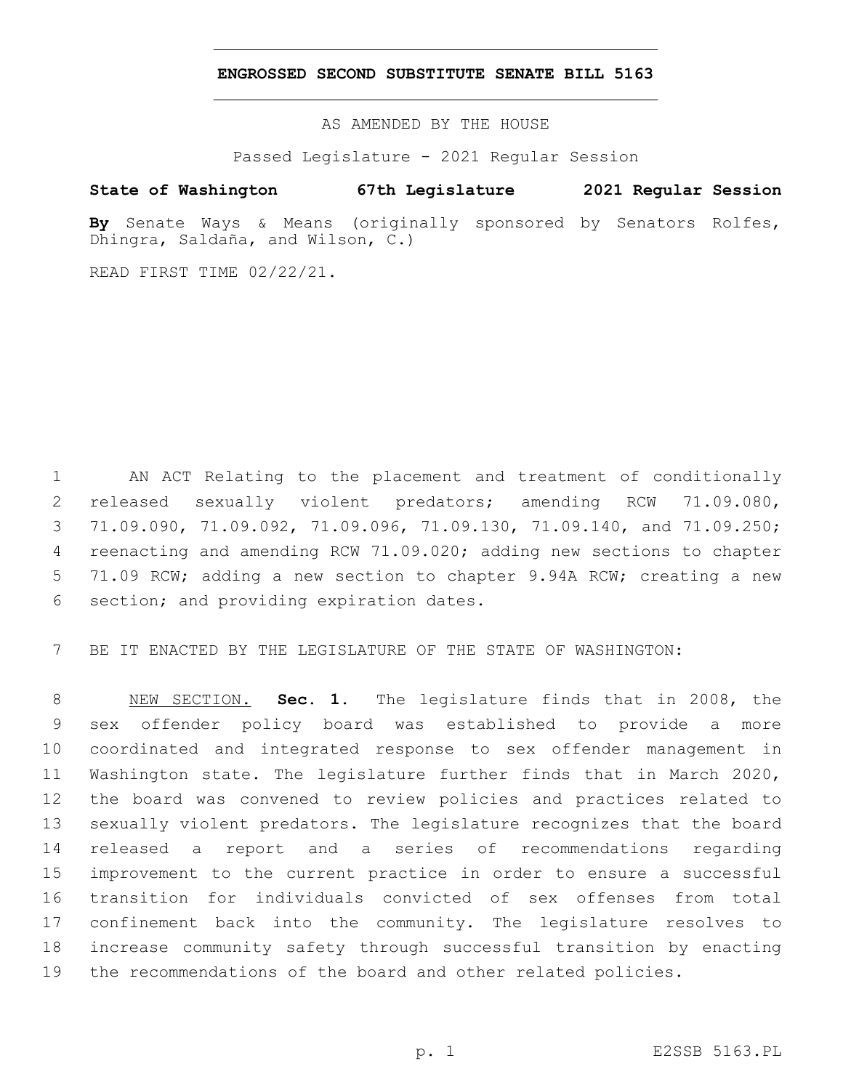## **ENGROSSED SECOND SUBSTITUTE SENATE BILL 5163**

AS AMENDED BY THE HOUSE

Passed Legislature - 2021 Regular Session

## **State of Washington 67th Legislature 2021 Regular Session**

**By** Senate Ways & Means (originally sponsored by Senators Rolfes, Dhingra, Saldaña, and Wilson, C.)

READ FIRST TIME 02/22/21.

 AN ACT Relating to the placement and treatment of conditionally released sexually violent predators; amending RCW 71.09.080, 71.09.090, 71.09.092, 71.09.096, 71.09.130, 71.09.140, and 71.09.250; reenacting and amending RCW 71.09.020; adding new sections to chapter 71.09 RCW; adding a new section to chapter 9.94A RCW; creating a new 6 section; and providing expiration dates.

BE IT ENACTED BY THE LEGISLATURE OF THE STATE OF WASHINGTON:

 NEW SECTION. **Sec. 1.** The legislature finds that in 2008, the sex offender policy board was established to provide a more coordinated and integrated response to sex offender management in Washington state. The legislature further finds that in March 2020, the board was convened to review policies and practices related to sexually violent predators. The legislature recognizes that the board released a report and a series of recommendations regarding improvement to the current practice in order to ensure a successful transition for individuals convicted of sex offenses from total confinement back into the community. The legislature resolves to increase community safety through successful transition by enacting the recommendations of the board and other related policies.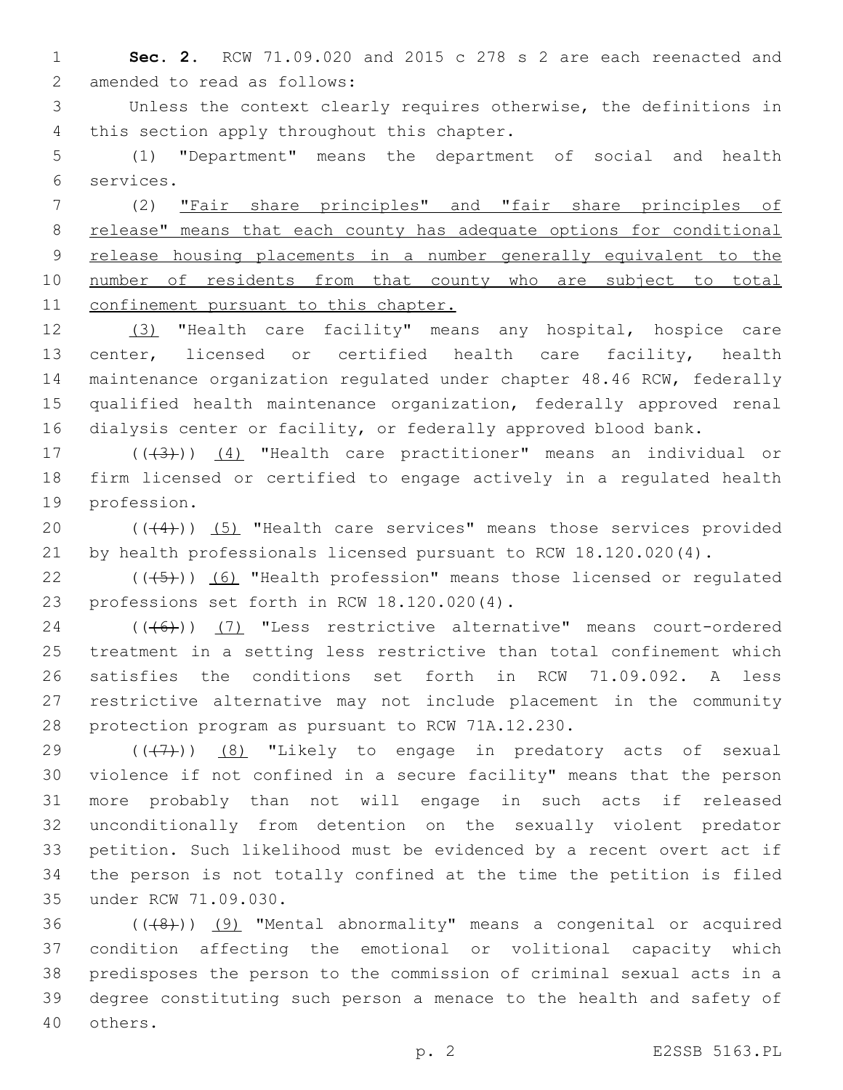**Sec. 2.** RCW 71.09.020 and 2015 c 278 s 2 are each reenacted and 2 amended to read as follows:

 Unless the context clearly requires otherwise, the definitions in 4 this section apply throughout this chapter.

 (1) "Department" means the department of social and health services.6

 (2) "Fair share principles" and "fair share principles of release" means that each county has adequate options for conditional release housing placements in a number generally equivalent to the 10 number of residents from that county who are subject to total 11 confinement pursuant to this chapter.

 (3) "Health care facility" means any hospital, hospice care center, licensed or certified health care facility, health maintenance organization regulated under chapter 48.46 RCW, federally qualified health maintenance organization, federally approved renal dialysis center or facility, or federally approved blood bank.

17 (((43))) (4) "Health care practitioner" means an individual or firm licensed or certified to engage actively in a regulated health 19 profession.

20 (((4))) (5) "Health care services" means those services provided by health professionals licensed pursuant to RCW 18.120.020(4).

 $((\overline{5})$  (6) "Health profession" means those licensed or regulated 23 professions set forth in RCW 18.120.020(4).

24 (((6)) (7) "Less restrictive alternative" means court-ordered treatment in a setting less restrictive than total confinement which satisfies the conditions set forth in RCW 71.09.092. A less restrictive alternative may not include placement in the community 28 protection program as pursuant to RCW 71A.12.230.

 $((+7+))$  (8) "Likely to engage in predatory acts of sexual violence if not confined in a secure facility" means that the person more probably than not will engage in such acts if released unconditionally from detention on the sexually violent predator petition. Such likelihood must be evidenced by a recent overt act if the person is not totally confined at the time the petition is filed 35 under RCW 71.09.030.

 ( $(48)$ )) (9) "Mental abnormality" means a congenital or acquired condition affecting the emotional or volitional capacity which predisposes the person to the commission of criminal sexual acts in a degree constituting such person a menace to the health and safety of 40 others.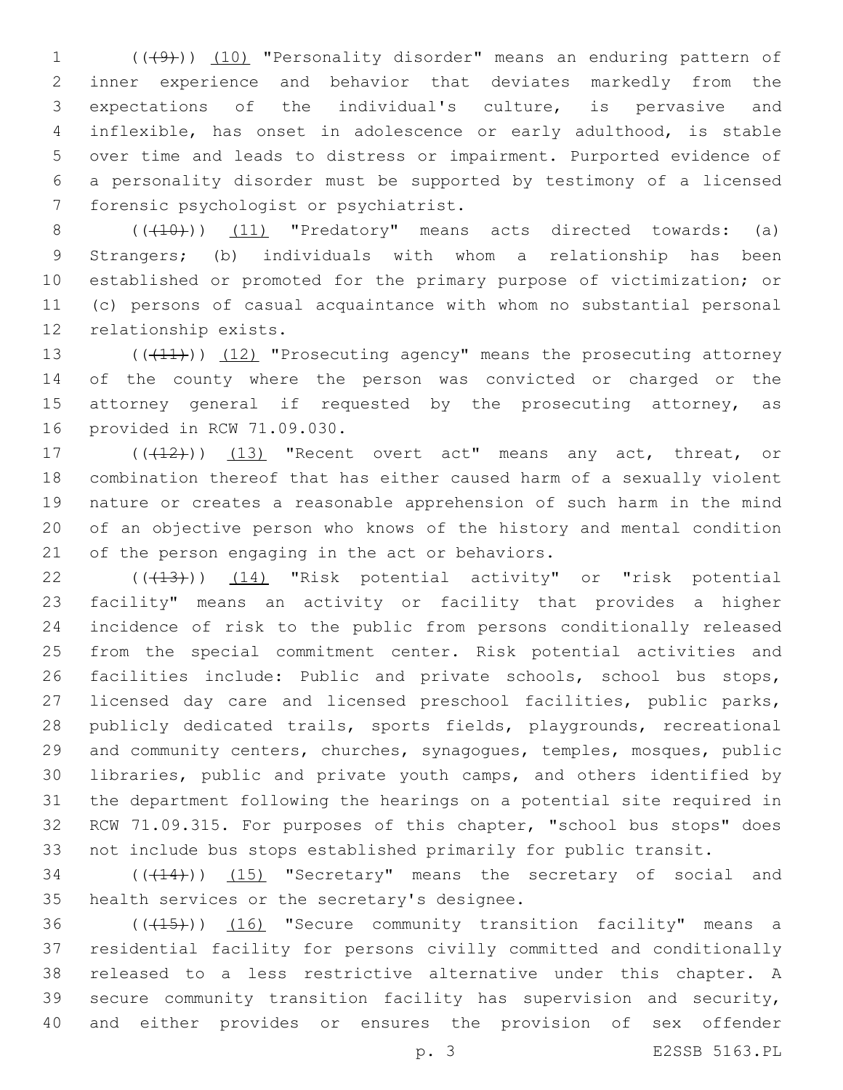1 (((49))) (10) "Personality disorder" means an enduring pattern of inner experience and behavior that deviates markedly from the expectations of the individual's culture, is pervasive and inflexible, has onset in adolescence or early adulthood, is stable over time and leads to distress or impairment. Purported evidence of a personality disorder must be supported by testimony of a licensed 7 forensic psychologist or psychiatrist.

 $((+10))$   $(11)$  "Predatory" means acts directed towards: (a) Strangers; (b) individuals with whom a relationship has been established or promoted for the primary purpose of victimization; or (c) persons of casual acquaintance with whom no substantial personal 12 relationship exists.

13 ((+11)) (12) "Prosecuting agency" means the prosecuting attorney of the county where the person was convicted or charged or the 15 attorney general if requested by the prosecuting attorney, as 16 provided in RCW 71.09.030.

17 (((412))) (13) "Recent overt act" means any act, threat, or combination thereof that has either caused harm of a sexually violent nature or creates a reasonable apprehension of such harm in the mind of an objective person who knows of the history and mental condition 21 of the person engaging in the act or behaviors.

22 (( $(43)$ )) (14) "Risk potential activity" or "risk potential facility" means an activity or facility that provides a higher incidence of risk to the public from persons conditionally released from the special commitment center. Risk potential activities and 26 facilities include: Public and private schools, school bus stops, licensed day care and licensed preschool facilities, public parks, publicly dedicated trails, sports fields, playgrounds, recreational and community centers, churches, synagogues, temples, mosques, public libraries, public and private youth camps, and others identified by the department following the hearings on a potential site required in RCW 71.09.315. For purposes of this chapter, "school bus stops" does not include bus stops established primarily for public transit.

34 (( $(14)$ )) (15) "Secretary" means the secretary of social and 35 health services or the secretary's designee.

36 (((15))) (16) "Secure community transition facility" means a residential facility for persons civilly committed and conditionally released to a less restrictive alternative under this chapter. A secure community transition facility has supervision and security, and either provides or ensures the provision of sex offender

p. 3 E2SSB 5163.PL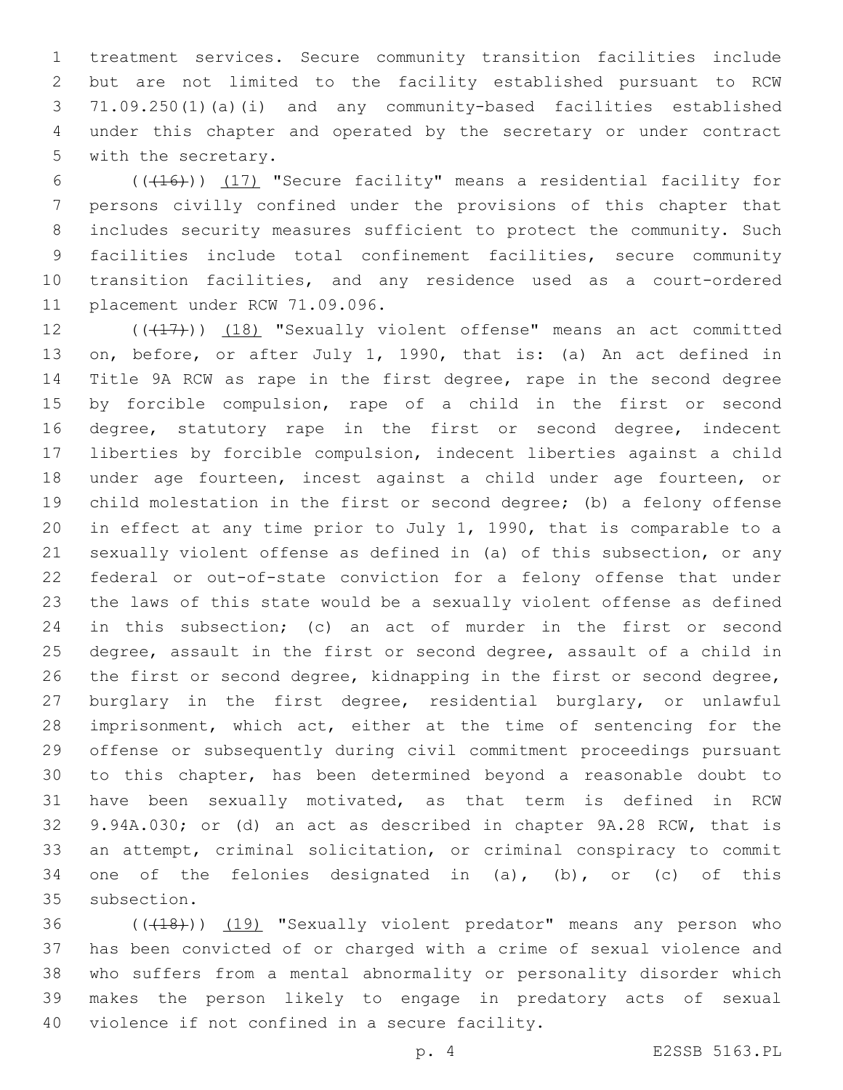treatment services. Secure community transition facilities include but are not limited to the facility established pursuant to RCW 71.09.250(1)(a)(i) and any community-based facilities established under this chapter and operated by the secretary or under contract 5 with the secretary.

6 (((416)) (17) "Secure facility" means a residential facility for persons civilly confined under the provisions of this chapter that includes security measures sufficient to protect the community. Such facilities include total confinement facilities, secure community transition facilities, and any residence used as a court-ordered 11 placement under RCW 71.09.096.

12 (((17))) (18) "Sexually violent offense" means an act committed on, before, or after July 1, 1990, that is: (a) An act defined in Title 9A RCW as rape in the first degree, rape in the second degree by forcible compulsion, rape of a child in the first or second 16 degree, statutory rape in the first or second degree, indecent liberties by forcible compulsion, indecent liberties against a child under age fourteen, incest against a child under age fourteen, or child molestation in the first or second degree; (b) a felony offense in effect at any time prior to July 1, 1990, that is comparable to a sexually violent offense as defined in (a) of this subsection, or any federal or out-of-state conviction for a felony offense that under the laws of this state would be a sexually violent offense as defined in this subsection; (c) an act of murder in the first or second degree, assault in the first or second degree, assault of a child in the first or second degree, kidnapping in the first or second degree, burglary in the first degree, residential burglary, or unlawful imprisonment, which act, either at the time of sentencing for the offense or subsequently during civil commitment proceedings pursuant to this chapter, has been determined beyond a reasonable doubt to have been sexually motivated, as that term is defined in RCW 9.94A.030; or (d) an act as described in chapter 9A.28 RCW, that is an attempt, criminal solicitation, or criminal conspiracy to commit 34 one of the felonies designated in  $(a)$ ,  $(b)$ , or  $(c)$  of this 35 subsection.

36 (((18))) (19) "Sexually violent predator" means any person who has been convicted of or charged with a crime of sexual violence and who suffers from a mental abnormality or personality disorder which makes the person likely to engage in predatory acts of sexual 40 violence if not confined in a secure facility.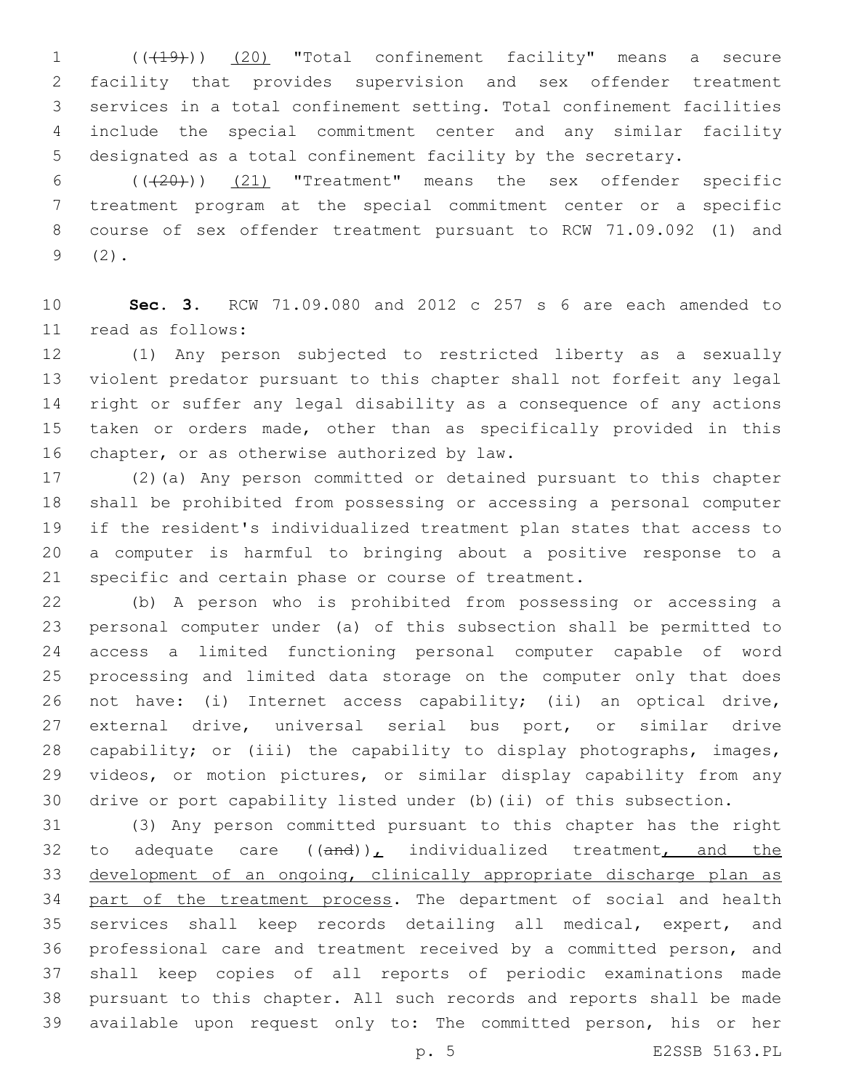(((19))) (20) "Total confinement facility" means a secure facility that provides supervision and sex offender treatment services in a total confinement setting. Total confinement facilities include the special commitment center and any similar facility designated as a total confinement facility by the secretary.

 $((+20))$   $(21)$  "Treatment" means the sex offender specific treatment program at the special commitment center or a specific course of sex offender treatment pursuant to RCW 71.09.092 (1) and  $9(2)$ .

 **Sec. 3.** RCW 71.09.080 and 2012 c 257 s 6 are each amended to 11 read as follows:

 (1) Any person subjected to restricted liberty as a sexually violent predator pursuant to this chapter shall not forfeit any legal right or suffer any legal disability as a consequence of any actions taken or orders made, other than as specifically provided in this 16 chapter, or as otherwise authorized by law.

 (2)(a) Any person committed or detained pursuant to this chapter shall be prohibited from possessing or accessing a personal computer if the resident's individualized treatment plan states that access to a computer is harmful to bringing about a positive response to a specific and certain phase or course of treatment.

 (b) A person who is prohibited from possessing or accessing a personal computer under (a) of this subsection shall be permitted to access a limited functioning personal computer capable of word processing and limited data storage on the computer only that does not have: (i) Internet access capability; (ii) an optical drive, external drive, universal serial bus port, or similar drive capability; or (iii) the capability to display photographs, images, videos, or motion pictures, or similar display capability from any drive or port capability listed under (b)(ii) of this subsection.

 (3) Any person committed pursuant to this chapter has the right 32 to adequate care  $((and))_L$  individualized treatment<sub> $L$  and the</sub> development of an ongoing, clinically appropriate discharge plan as 34 part of the treatment process. The department of social and health services shall keep records detailing all medical, expert, and professional care and treatment received by a committed person, and shall keep copies of all reports of periodic examinations made pursuant to this chapter. All such records and reports shall be made available upon request only to: The committed person, his or her

p. 5 E2SSB 5163.PL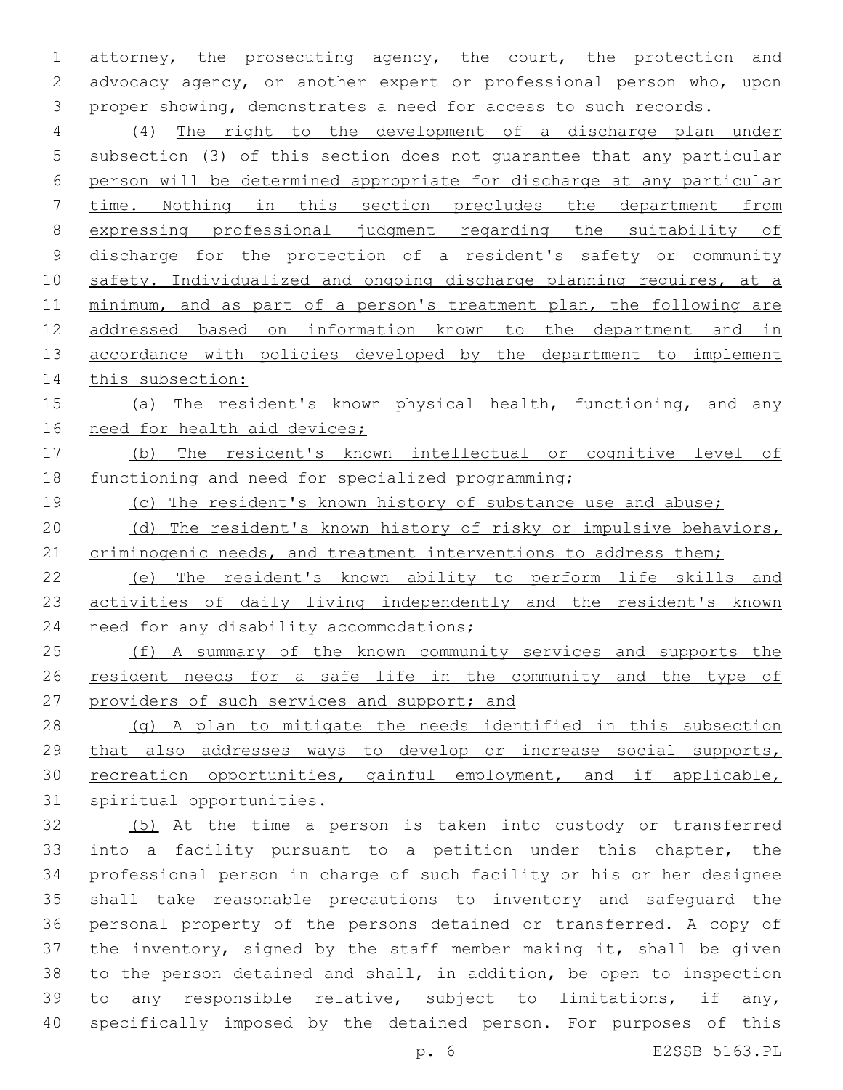attorney, the prosecuting agency, the court, the protection and advocacy agency, or another expert or professional person who, upon proper showing, demonstrates a need for access to such records.

 (4) The right to the development of a discharge plan under subsection (3) of this section does not guarantee that any particular person will be determined appropriate for discharge at any particular time. Nothing in this section precludes the department from expressing professional judgment regarding the suitability of discharge for the protection of a resident's safety or community 10 safety. Individualized and ongoing discharge planning requires, at a minimum, and as part of a person's treatment plan, the following are addressed based on information known to the department and in 13 accordance with policies developed by the department to implement 14 this subsection:

15 (a) The resident's known physical health, functioning, and any need for health aid devices;

 (b) The resident's known intellectual or cognitive level of functioning and need for specialized programming;

(c) The resident's known history of substance use and abuse;

20 (d) The resident's known history of risky or impulsive behaviors, 21 criminogenic needs, and treatment interventions to address them;

 (e) The resident's known ability to perform life skills and 23 activities of daily living independently and the resident's known 24 need for any disability accommodations;

 (f) A summary of the known community services and supports the resident needs for a safe life in the community and the type of 27 providers of such services and support; and

 (g) A plan to mitigate the needs identified in this subsection that also addresses ways to develop or increase social supports, recreation opportunities, gainful employment, and if applicable, spiritual opportunities.

 (5) At the time a person is taken into custody or transferred into a facility pursuant to a petition under this chapter, the professional person in charge of such facility or his or her designee shall take reasonable precautions to inventory and safeguard the personal property of the persons detained or transferred. A copy of the inventory, signed by the staff member making it, shall be given to the person detained and shall, in addition, be open to inspection to any responsible relative, subject to limitations, if any, specifically imposed by the detained person. For purposes of this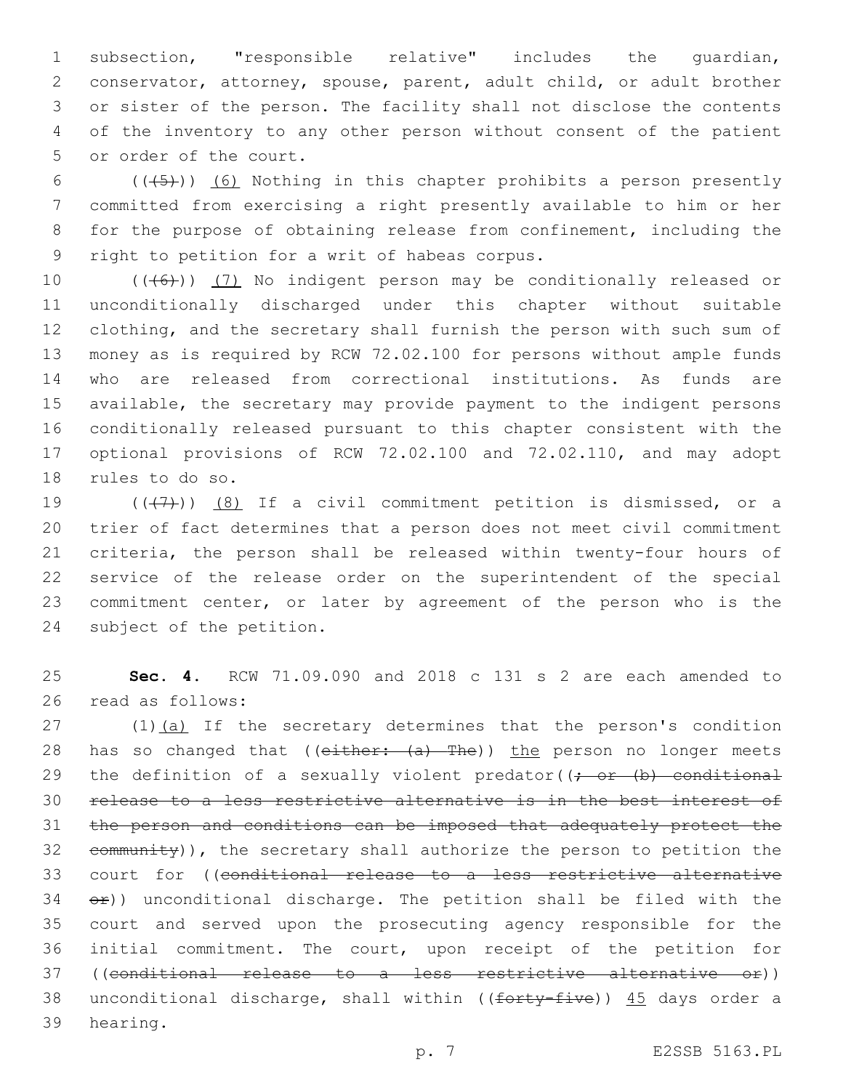subsection, "responsible relative" includes the guardian, conservator, attorney, spouse, parent, adult child, or adult brother or sister of the person. The facility shall not disclose the contents of the inventory to any other person without consent of the patient 5 or order of the court.

 $((+5))$  (6) Nothing in this chapter prohibits a person presently committed from exercising a right presently available to him or her for the purpose of obtaining release from confinement, including the 9 right to petition for a writ of habeas corpus.

 $((+6+))$   $(7)$  No indigent person may be conditionally released or unconditionally discharged under this chapter without suitable clothing, and the secretary shall furnish the person with such sum of money as is required by RCW 72.02.100 for persons without ample funds who are released from correctional institutions. As funds are available, the secretary may provide payment to the indigent persons conditionally released pursuant to this chapter consistent with the optional provisions of RCW 72.02.100 and 72.02.110, and may adopt 18 rules to do so.

 $((+7+))$   $(8)$  If a civil commitment petition is dismissed, or a trier of fact determines that a person does not meet civil commitment criteria, the person shall be released within twenty-four hours of service of the release order on the superintendent of the special commitment center, or later by agreement of the person who is the 24 subject of the petition.

 **Sec. 4.** RCW 71.09.090 and 2018 c 131 s 2 are each amended to 26 read as follows:

27 (1)(a) If the secretary determines that the person's condition 28 has so changed that (( $e$ ither:  $(a)$  The)) the person no longer meets 29 the definition of a sexually violent predator( $\rightarrow$  or  $(b)$  conditional release to a less restrictive alternative is in the best interest of the person and conditions can be imposed that adequately protect the community)), the secretary shall authorize the person to petition the court for ((conditional release to a less restrictive alternative  $\leftrightarrow$ )) unconditional discharge. The petition shall be filed with the court and served upon the prosecuting agency responsible for the initial commitment. The court, upon receipt of the petition for ((conditional release to a less restrictive alternative or)) 38 unconditional discharge, shall within (( $f$ orty-five))  $45$  days order a 39 hearing.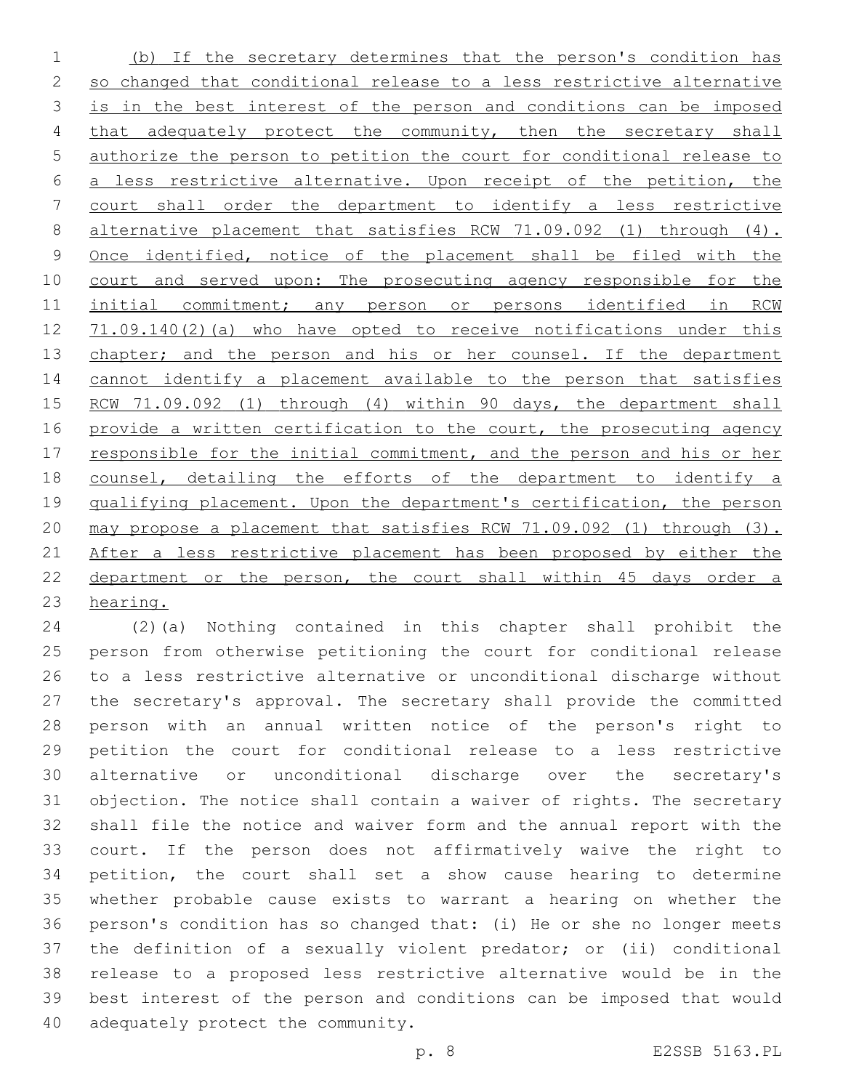(b) If the secretary determines that the person's condition has so changed that conditional release to a less restrictive alternative is in the best interest of the person and conditions can be imposed 4 that adequately protect the community, then the secretary shall authorize the person to petition the court for conditional release to a less restrictive alternative. Upon receipt of the petition, the court shall order the department to identify a less restrictive 8 alternative placement that satisfies RCW 71.09.092 (1) through (4). Once identified, notice of the placement shall be filed with the 10 court and served upon: The prosecuting agency responsible for the initial commitment; any person or persons identified in RCW 12 71.09.140(2)(a) who have opted to receive notifications under this 13 chapter; and the person and his or her counsel. If the department cannot identify a placement available to the person that satisfies 15 RCW 71.09.092 (1) through (4) within 90 days, the department shall 16 provide a written certification to the court, the prosecuting agency 17 responsible for the initial commitment, and the person and his or her counsel, detailing the efforts of the department to identify a 19 qualifying placement. Upon the department's certification, the person may propose a placement that satisfies RCW 71.09.092 (1) through (3). 21 After a less restrictive placement has been proposed by either the department or the person, the court shall within 45 days order a hearing.

 (2)(a) Nothing contained in this chapter shall prohibit the person from otherwise petitioning the court for conditional release to a less restrictive alternative or unconditional discharge without the secretary's approval. The secretary shall provide the committed person with an annual written notice of the person's right to petition the court for conditional release to a less restrictive alternative or unconditional discharge over the secretary's objection. The notice shall contain a waiver of rights. The secretary shall file the notice and waiver form and the annual report with the court. If the person does not affirmatively waive the right to petition, the court shall set a show cause hearing to determine whether probable cause exists to warrant a hearing on whether the person's condition has so changed that: (i) He or she no longer meets the definition of a sexually violent predator; or (ii) conditional release to a proposed less restrictive alternative would be in the best interest of the person and conditions can be imposed that would 40 adequately protect the community.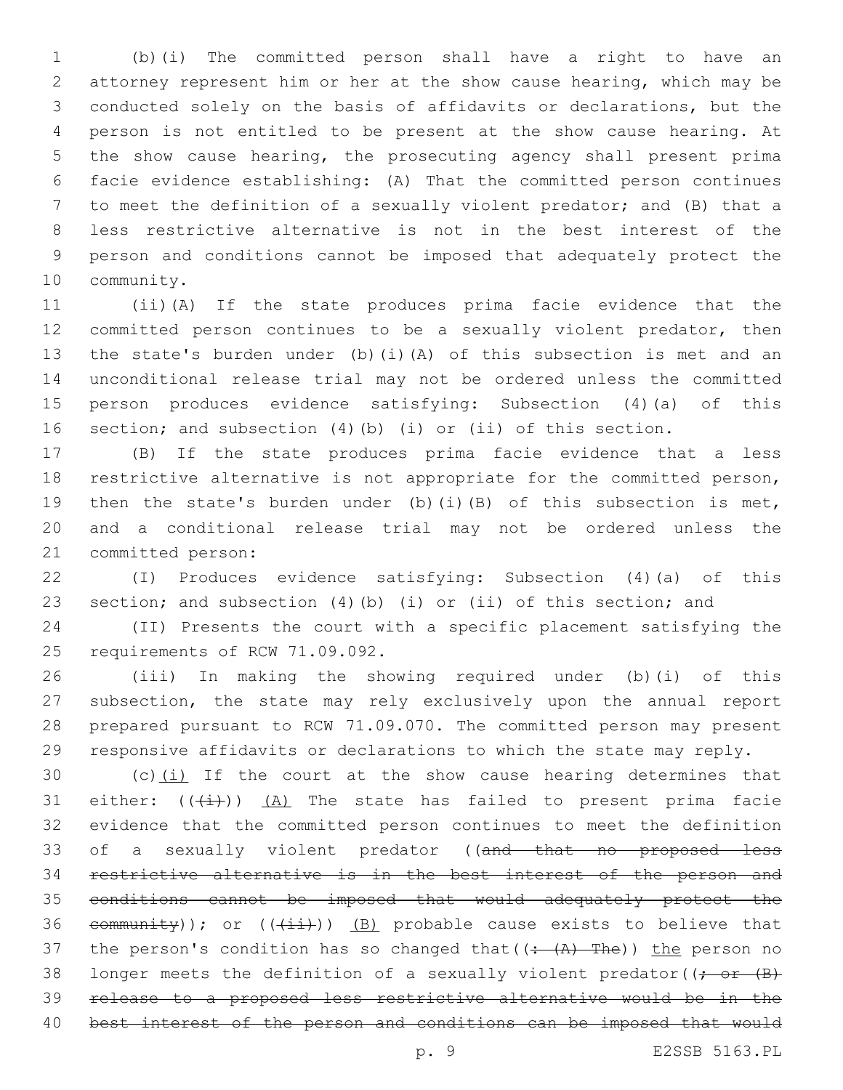(b)(i) The committed person shall have a right to have an attorney represent him or her at the show cause hearing, which may be conducted solely on the basis of affidavits or declarations, but the person is not entitled to be present at the show cause hearing. At the show cause hearing, the prosecuting agency shall present prima facie evidence establishing: (A) That the committed person continues to meet the definition of a sexually violent predator; and (B) that a less restrictive alternative is not in the best interest of the person and conditions cannot be imposed that adequately protect the 10 community.

 (ii)(A) If the state produces prima facie evidence that the committed person continues to be a sexually violent predator, then the state's burden under (b)(i)(A) of this subsection is met and an unconditional release trial may not be ordered unless the committed person produces evidence satisfying: Subsection (4)(a) of this section; and subsection (4)(b) (i) or (ii) of this section.

 (B) If the state produces prima facie evidence that a less restrictive alternative is not appropriate for the committed person, then the state's burden under (b)(i)(B) of this subsection is met, and a conditional release trial may not be ordered unless the 21 committed person:

 (I) Produces evidence satisfying: Subsection (4)(a) of this section; and subsection (4)(b) (i) or (ii) of this section; and

 (II) Presents the court with a specific placement satisfying the 25 requirements of RCW 71.09.092.

 (iii) In making the showing required under (b)(i) of this subsection, the state may rely exclusively upon the annual report prepared pursuant to RCW 71.09.070. The committed person may present responsive affidavits or declarations to which the state may reply.

30 (c) $(i)$  If the court at the show cause hearing determines that 31 either:  $((\overleftrightarrow{+}))$  (A) The state has failed to present prima facie evidence that the committed person continues to meet the definition 33 of a sexually violent predator ((and that no proposed less restrictive alternative is in the best interest of the person and conditions cannot be imposed that would adequately protect the 36 community)); or  $((\pm i)^2)$  (B) probable cause exists to believe that 37 the person's condition has so changed that  $((\div(A)-The))$  the person no 38 longer meets the definition of a sexually violent predator( $\rightarrow$   $\rightarrow$   $\rightarrow$  release to a proposed less restrictive alternative would be in the best interest of the person and conditions can be imposed that would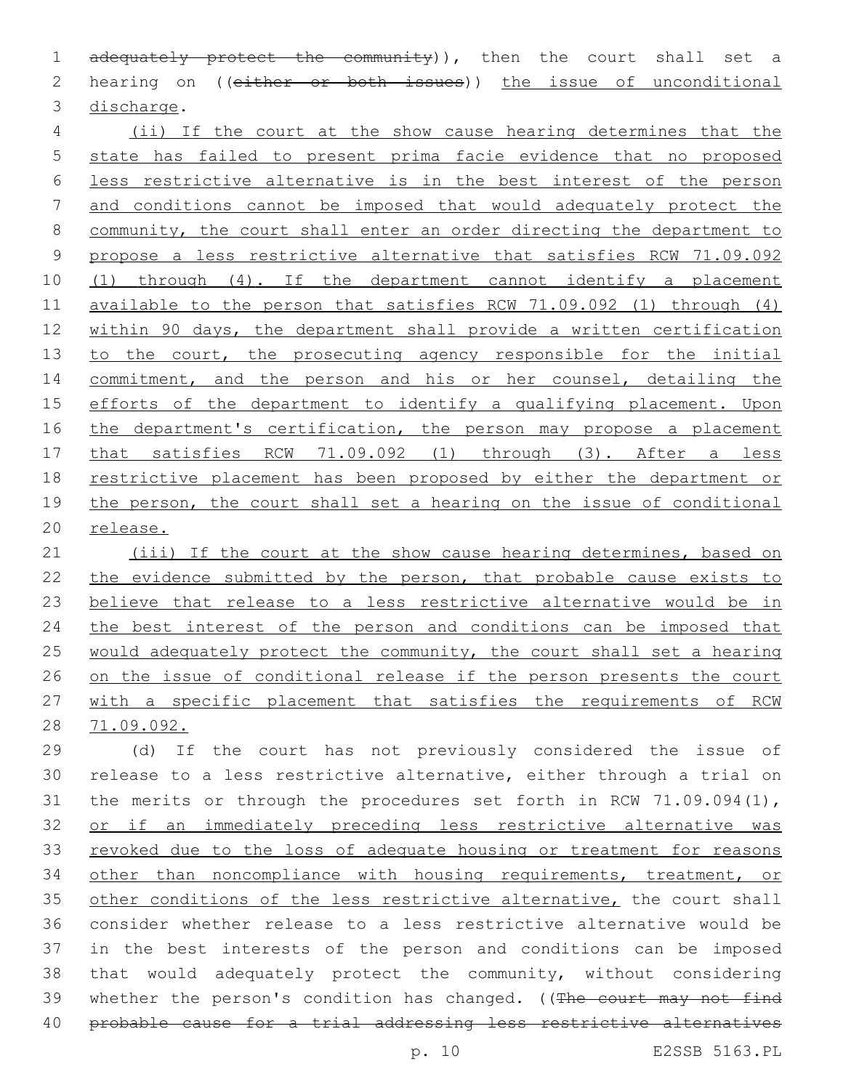1 adequately protect the community)), then the court shall set a 2 hearing on ((either or both issues)) the issue of unconditional 3 discharge.

 (ii) If the court at the show cause hearing determines that the state has failed to present prima facie evidence that no proposed less restrictive alternative is in the best interest of the person and conditions cannot be imposed that would adequately protect the community, the court shall enter an order directing the department to propose a less restrictive alternative that satisfies RCW 71.09.092 (1) through (4). If the department cannot identify a placement available to the person that satisfies RCW 71.09.092 (1) through (4) within 90 days, the department shall provide a written certification 13 to the court, the prosecuting agency responsible for the initial 14 commitment, and the person and his or her counsel, detailing the 15 efforts of the department to identify a qualifying placement. Upon 16 the department's certification, the person may propose a placement that satisfies RCW 71.09.092 (1) through (3). After a less restrictive placement has been proposed by either the department or the person, the court shall set a hearing on the issue of conditional release.

 (iii) If the court at the show cause hearing determines, based on 22 the evidence submitted by the person, that probable cause exists to believe that release to a less restrictive alternative would be in 24 the best interest of the person and conditions can be imposed that would adequately protect the community, the court shall set a hearing on the issue of conditional release if the person presents the court with a specific placement that satisfies the requirements of RCW 71.09.092.

 (d) If the court has not previously considered the issue of release to a less restrictive alternative, either through a trial on 31 the merits or through the procedures set forth in RCW 71.09.094(1), or if an immediately preceding less restrictive alternative was revoked due to the loss of adequate housing or treatment for reasons other than noncompliance with housing requirements, treatment, or 35 other conditions of the less restrictive alternative, the court shall consider whether release to a less restrictive alternative would be in the best interests of the person and conditions can be imposed that would adequately protect the community, without considering 39 whether the person's condition has changed. ((The court may not find 40 probable cause for a trial addressing less restrictive alternatives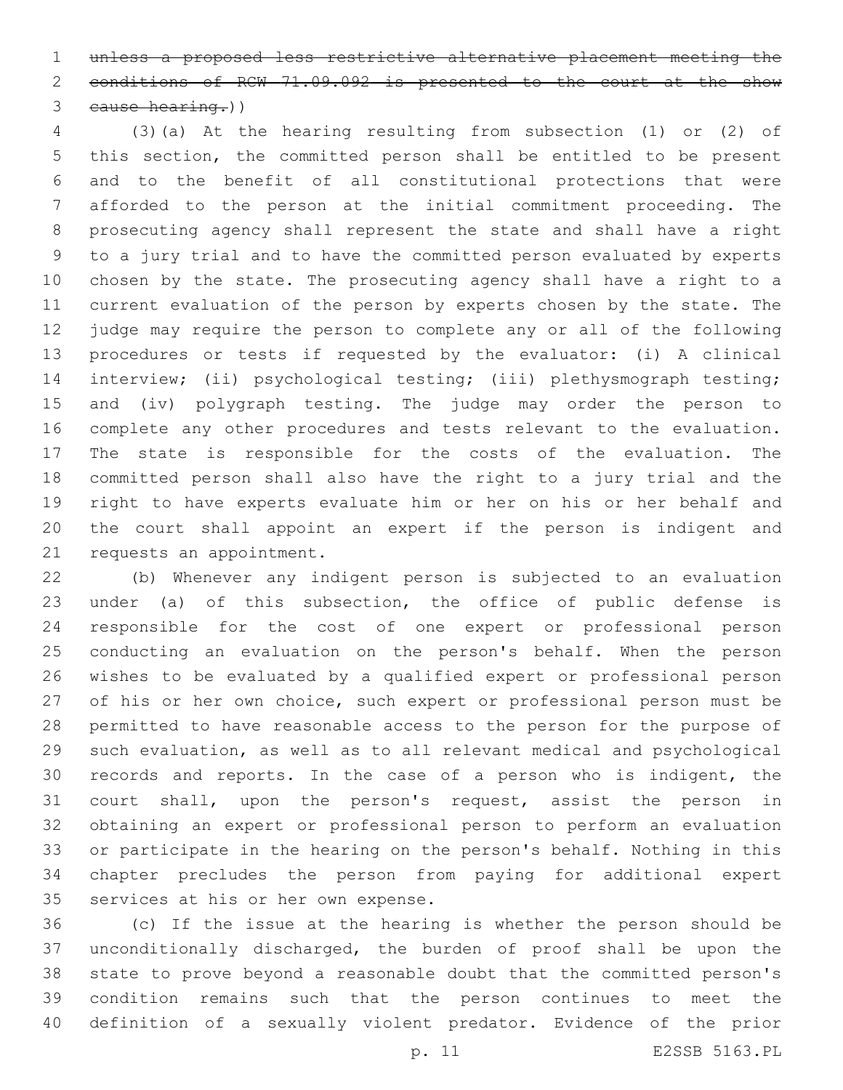unless a proposed less restrictive alternative placement meeting the conditions of RCW 71.09.092 is presented to the court at the show cause hearing.))

 (3)(a) At the hearing resulting from subsection (1) or (2) of this section, the committed person shall be entitled to be present and to the benefit of all constitutional protections that were afforded to the person at the initial commitment proceeding. The prosecuting agency shall represent the state and shall have a right to a jury trial and to have the committed person evaluated by experts chosen by the state. The prosecuting agency shall have a right to a current evaluation of the person by experts chosen by the state. The judge may require the person to complete any or all of the following procedures or tests if requested by the evaluator: (i) A clinical 14 interview; (ii) psychological testing; (iii) plethysmograph testing; and (iv) polygraph testing. The judge may order the person to complete any other procedures and tests relevant to the evaluation. The state is responsible for the costs of the evaluation. The committed person shall also have the right to a jury trial and the right to have experts evaluate him or her on his or her behalf and the court shall appoint an expert if the person is indigent and 21 requests an appointment.

 (b) Whenever any indigent person is subjected to an evaluation under (a) of this subsection, the office of public defense is responsible for the cost of one expert or professional person conducting an evaluation on the person's behalf. When the person wishes to be evaluated by a qualified expert or professional person 27 of his or her own choice, such expert or professional person must be permitted to have reasonable access to the person for the purpose of such evaluation, as well as to all relevant medical and psychological records and reports. In the case of a person who is indigent, the court shall, upon the person's request, assist the person in obtaining an expert or professional person to perform an evaluation or participate in the hearing on the person's behalf. Nothing in this chapter precludes the person from paying for additional expert 35 services at his or her own expense.

 (c) If the issue at the hearing is whether the person should be unconditionally discharged, the burden of proof shall be upon the state to prove beyond a reasonable doubt that the committed person's condition remains such that the person continues to meet the definition of a sexually violent predator. Evidence of the prior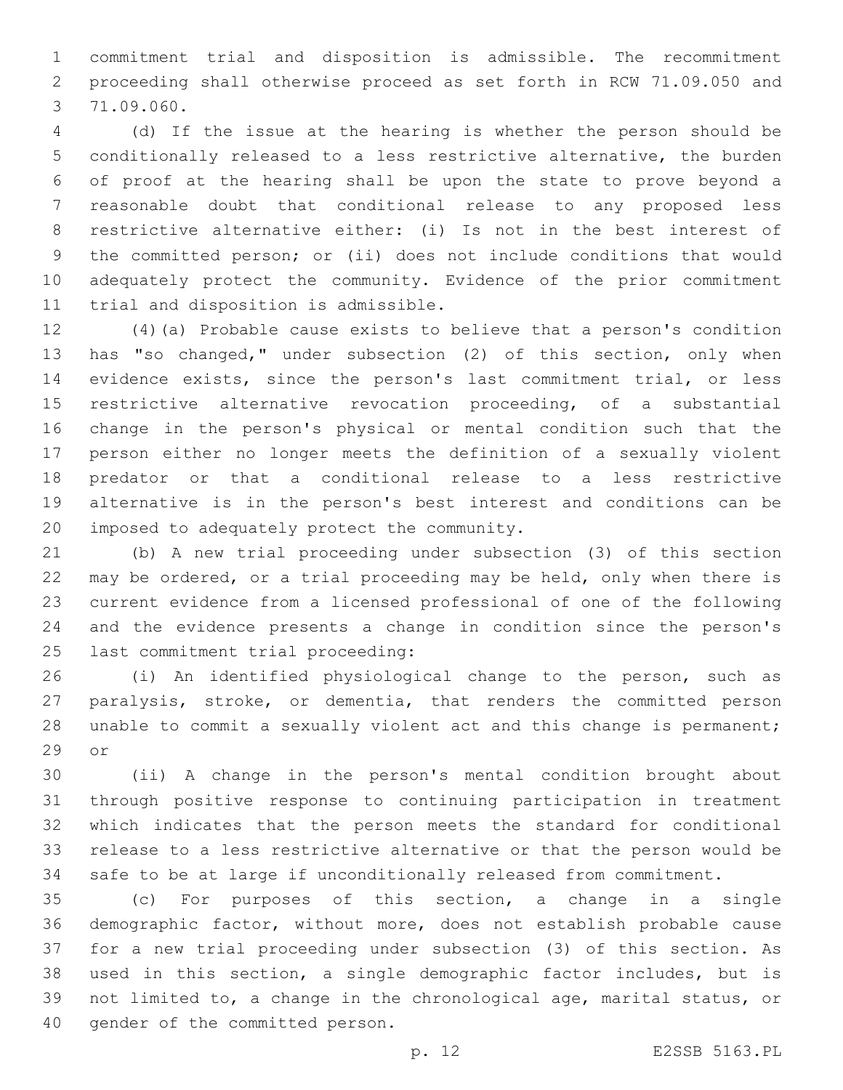commitment trial and disposition is admissible. The recommitment proceeding shall otherwise proceed as set forth in RCW 71.09.050 and 71.09.060.3

 (d) If the issue at the hearing is whether the person should be conditionally released to a less restrictive alternative, the burden of proof at the hearing shall be upon the state to prove beyond a reasonable doubt that conditional release to any proposed less restrictive alternative either: (i) Is not in the best interest of the committed person; or (ii) does not include conditions that would adequately protect the community. Evidence of the prior commitment 11 trial and disposition is admissible.

 (4)(a) Probable cause exists to believe that a person's condition has "so changed," under subsection (2) of this section, only when evidence exists, since the person's last commitment trial, or less restrictive alternative revocation proceeding, of a substantial change in the person's physical or mental condition such that the person either no longer meets the definition of a sexually violent predator or that a conditional release to a less restrictive alternative is in the person's best interest and conditions can be 20 imposed to adequately protect the community.

 (b) A new trial proceeding under subsection (3) of this section may be ordered, or a trial proceeding may be held, only when there is current evidence from a licensed professional of one of the following and the evidence presents a change in condition since the person's 25 last commitment trial proceeding:

 (i) An identified physiological change to the person, such as paralysis, stroke, or dementia, that renders the committed person unable to commit a sexually violent act and this change is permanent; 29 or

 (ii) A change in the person's mental condition brought about through positive response to continuing participation in treatment which indicates that the person meets the standard for conditional release to a less restrictive alternative or that the person would be safe to be at large if unconditionally released from commitment.

 (c) For purposes of this section, a change in a single demographic factor, without more, does not establish probable cause for a new trial proceeding under subsection (3) of this section. As used in this section, a single demographic factor includes, but is not limited to, a change in the chronological age, marital status, or 40 gender of the committed person.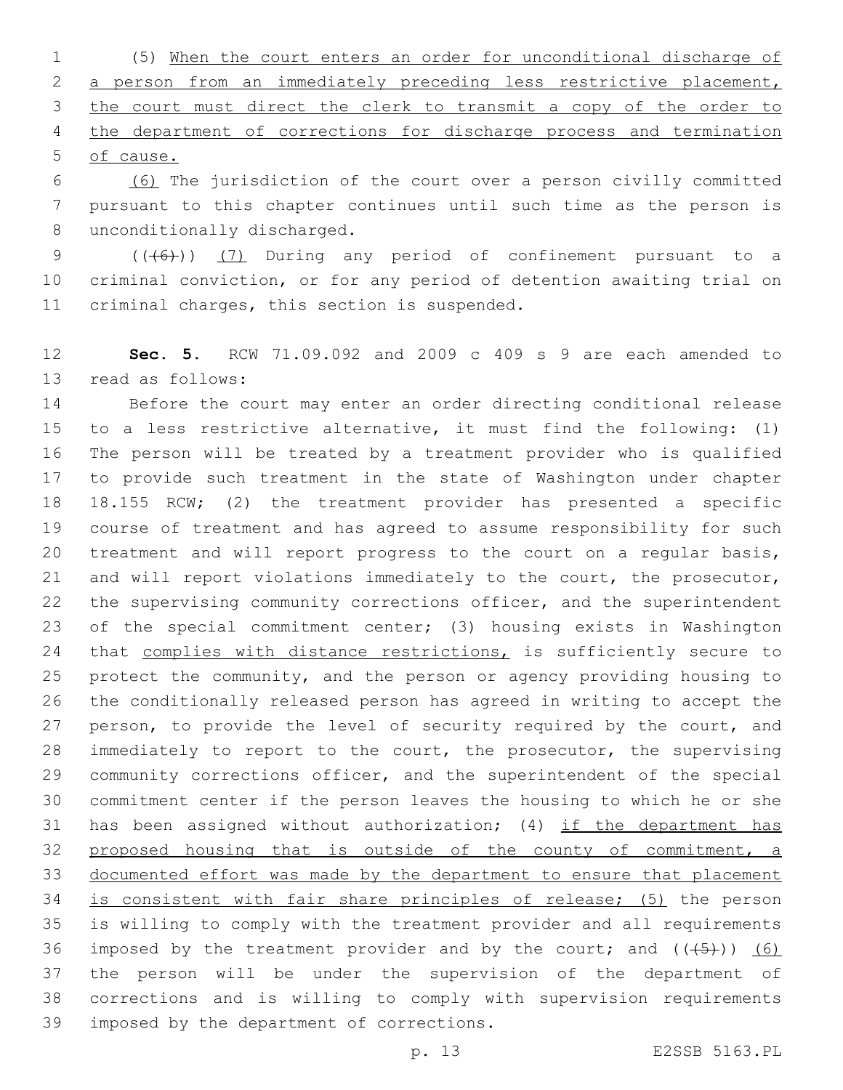(5) When the court enters an order for unconditional discharge of 2 a person from an immediately preceding less restrictive placement, 3 the court must direct the clerk to transmit a copy of the order to 4 the department of corrections for discharge process and termination of cause.

 (6) The jurisdiction of the court over a person civilly committed pursuant to this chapter continues until such time as the person is 8 unconditionally discharged.

9 (((6)) (7) During any period of confinement pursuant to a criminal conviction, or for any period of detention awaiting trial on 11 criminal charges, this section is suspended.

 **Sec. 5.** RCW 71.09.092 and 2009 c 409 s 9 are each amended to 13 read as follows:

 Before the court may enter an order directing conditional release to a less restrictive alternative, it must find the following: (1) The person will be treated by a treatment provider who is qualified to provide such treatment in the state of Washington under chapter 18.155 RCW; (2) the treatment provider has presented a specific course of treatment and has agreed to assume responsibility for such treatment and will report progress to the court on a regular basis, and will report violations immediately to the court, the prosecutor, the supervising community corrections officer, and the superintendent of the special commitment center; (3) housing exists in Washington 24 that complies with distance restrictions, is sufficiently secure to protect the community, and the person or agency providing housing to the conditionally released person has agreed in writing to accept the 27 person, to provide the level of security required by the court, and immediately to report to the court, the prosecutor, the supervising community corrections officer, and the superintendent of the special commitment center if the person leaves the housing to which he or she has been assigned without authorization; (4) if the department has proposed housing that is outside of the county of commitment, a documented effort was made by the department to ensure that placement 34 is consistent with fair share principles of release; (5) the person is willing to comply with the treatment provider and all requirements 36 imposed by the treatment provider and by the court; and  $((+5+))$  (6) the person will be under the supervision of the department of corrections and is willing to comply with supervision requirements 39 imposed by the department of corrections.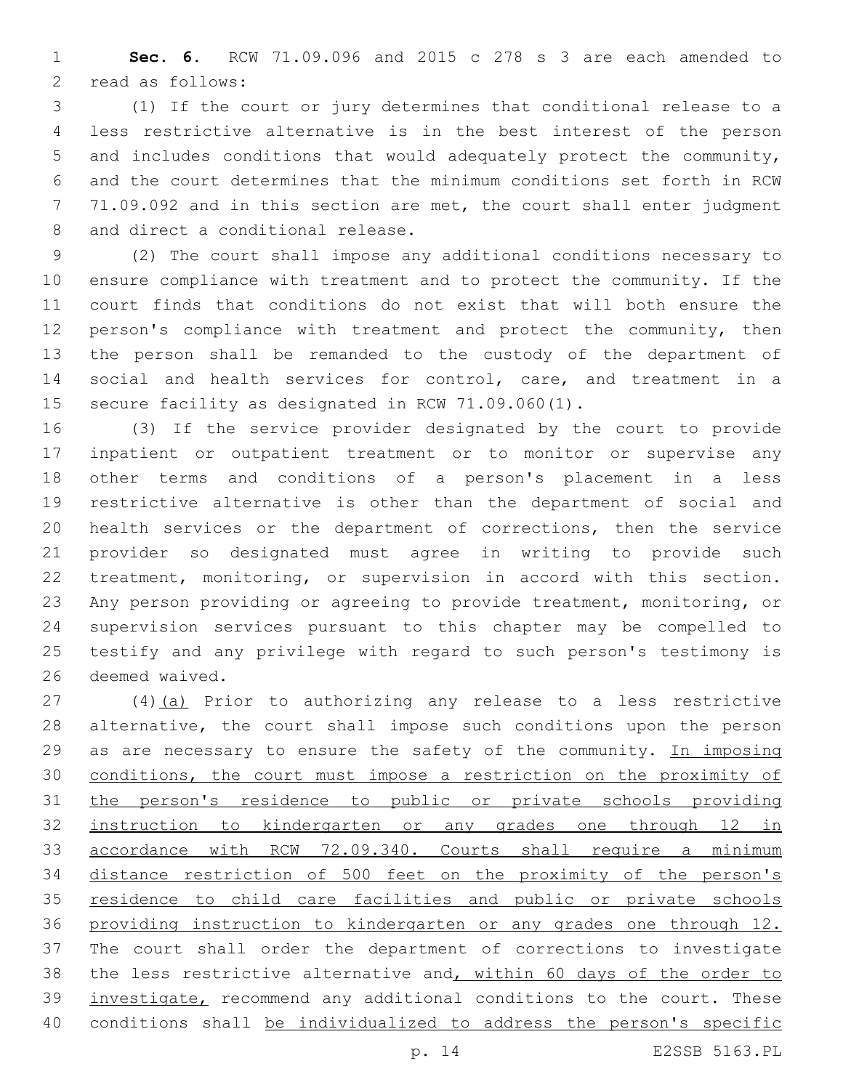**Sec. 6.** RCW 71.09.096 and 2015 c 278 s 3 are each amended to 2 read as follows:

 (1) If the court or jury determines that conditional release to a less restrictive alternative is in the best interest of the person and includes conditions that would adequately protect the community, and the court determines that the minimum conditions set forth in RCW 71.09.092 and in this section are met, the court shall enter judgment 8 and direct a conditional release.

 (2) The court shall impose any additional conditions necessary to ensure compliance with treatment and to protect the community. If the court finds that conditions do not exist that will both ensure the person's compliance with treatment and protect the community, then the person shall be remanded to the custody of the department of social and health services for control, care, and treatment in a secure facility as designated in RCW 71.09.060(1).

 (3) If the service provider designated by the court to provide inpatient or outpatient treatment or to monitor or supervise any other terms and conditions of a person's placement in a less restrictive alternative is other than the department of social and health services or the department of corrections, then the service provider so designated must agree in writing to provide such treatment, monitoring, or supervision in accord with this section. Any person providing or agreeing to provide treatment, monitoring, or supervision services pursuant to this chapter may be compelled to testify and any privilege with regard to such person's testimony is 26 deemed waived.

 (4)(a) Prior to authorizing any release to a less restrictive alternative, the court shall impose such conditions upon the person 29 as are necessary to ensure the safety of the community. In imposing conditions, the court must impose a restriction on the proximity of the person's residence to public or private schools providing instruction to kindergarten or any grades one through 12 in 33 accordance with RCW 72.09.340. Courts shall require a minimum distance restriction of 500 feet on the proximity of the person's residence to child care facilities and public or private schools providing instruction to kindergarten or any grades one through 12. The court shall order the department of corrections to investigate 38 the less restrictive alternative and, within 60 days of the order to 39 investigate, recommend any additional conditions to the court. These conditions shall be individualized to address the person's specific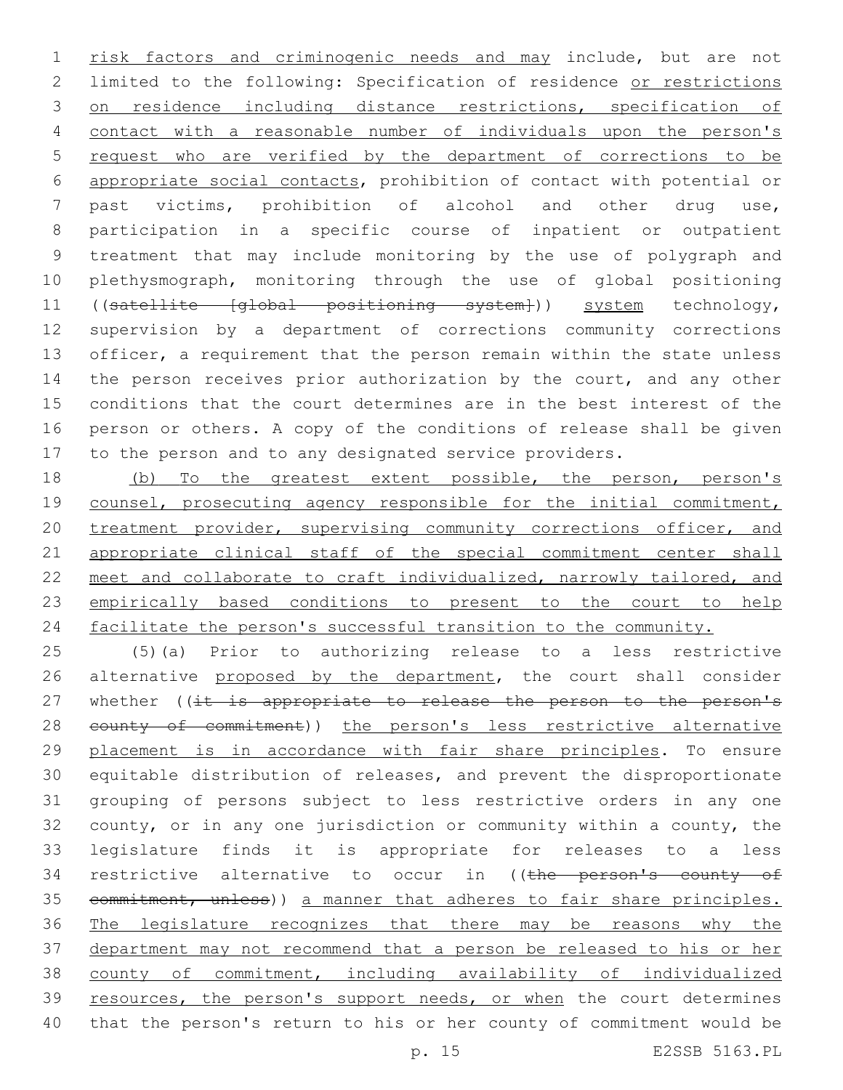1 risk factors and criminogenic needs and may include, but are not limited to the following: Specification of residence or restrictions on residence including distance restrictions, specification of 4 contact with a reasonable number of individuals upon the person's request who are verified by the department of corrections to be appropriate social contacts, prohibition of contact with potential or past victims, prohibition of alcohol and other drug use, participation in a specific course of inpatient or outpatient treatment that may include monitoring by the use of polygraph and plethysmograph, monitoring through the use of global positioning 11 ((satellite [global positioning system])) system technology, supervision by a department of corrections community corrections 13 officer, a requirement that the person remain within the state unless 14 the person receives prior authorization by the court, and any other conditions that the court determines are in the best interest of the person or others. A copy of the conditions of release shall be given to the person and to any designated service providers.

18 (b) To the greatest extent possible, the person, person's 19 counsel, prosecuting agency responsible for the initial commitment, 20 treatment provider, supervising community corrections officer, and 21 appropriate clinical staff of the special commitment center shall 22 meet and collaborate to craft individualized, narrowly tailored, and 23 empirically based conditions to present to the court to help 24 facilitate the person's successful transition to the community.

 (5)(a) Prior to authorizing release to a less restrictive 26 alternative proposed by the department, the court shall consider 27 whether ((it is appropriate to release the person to the person's 28 county of commitment)) the person's less restrictive alternative placement is in accordance with fair share principles. To ensure equitable distribution of releases, and prevent the disproportionate grouping of persons subject to less restrictive orders in any one county, or in any one jurisdiction or community within a county, the legislature finds it is appropriate for releases to a less 34 restrictive alternative to occur in ((the person's county of 35 commitment, unless)) a manner that adheres to fair share principles. The legislature recognizes that there may be reasons why the department may not recommend that a person be released to his or her county of commitment, including availability of individualized 39 resources, the person's support needs, or when the court determines that the person's return to his or her county of commitment would be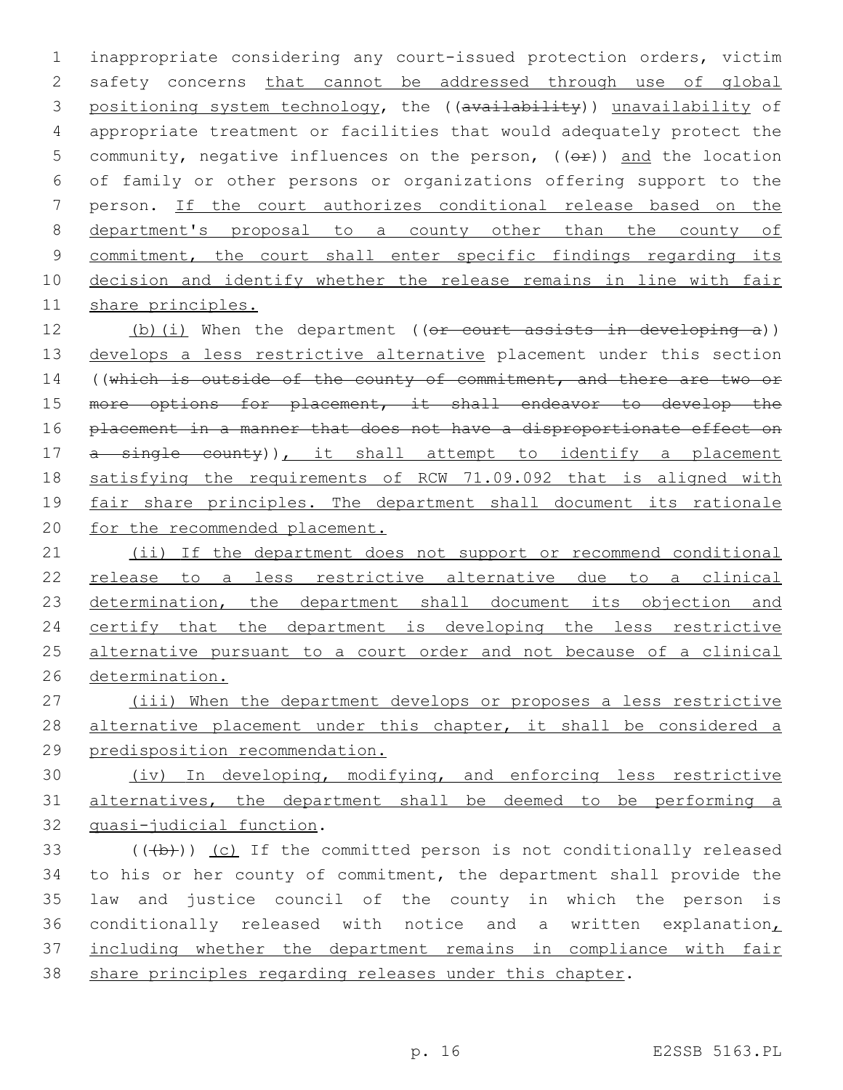inappropriate considering any court-issued protection orders, victim safety concerns that cannot be addressed through use of global 3 positioning system technology, the ((availability)) unavailability of appropriate treatment or facilities that would adequately protect the 5 community, negative influences on the person,  $((\theta \hat{r}))$  and the location of family or other persons or organizations offering support to the person. If the court authorizes conditional release based on the department's proposal to a county other than the county of 9 commitment, the court shall enter specific findings regarding its decision and identify whether the release remains in line with fair share principles.

12 (b)(i) When the department ((or court assists in developing a)) 13 develops a less restrictive alternative placement under this section 14 ((which is outside of the county of commitment, and there are two or 15 more options for placement, it shall endeavor to develop the 16 placement in a manner that does not have a disproportionate effect on 17 a single county)), it shall attempt to identify a placement 18 satisfying the requirements of RCW 71.09.092 that is aligned with 19 fair share principles. The department shall document its rationale 20 for the recommended placement.

 (ii) If the department does not support or recommend conditional release to a less restrictive alternative due to a clinical 23 determination, the department shall document its objection and 24 certify that the department is developing the less restrictive alternative pursuant to a court order and not because of a clinical determination.

27 (iii) When the department develops or proposes a less restrictive 28 alternative placement under this chapter, it shall be considered a 29 predisposition recommendation.

30 (iv) In developing, modifying, and enforcing less restrictive 31 alternatives, the department shall be deemed to be performing a 32 quasi-judicial function.

 $($   $($   $($   $($   $+$   $b$  $)$   $)$   $($   $c)$  If the committed person is not conditionally released 34 to his or her county of commitment, the department shall provide the 35 law and justice council of the county in which the person is 36 conditionally released with notice and a written explanation, 37 including whether the department remains in compliance with fair 38 share principles regarding releases under this chapter.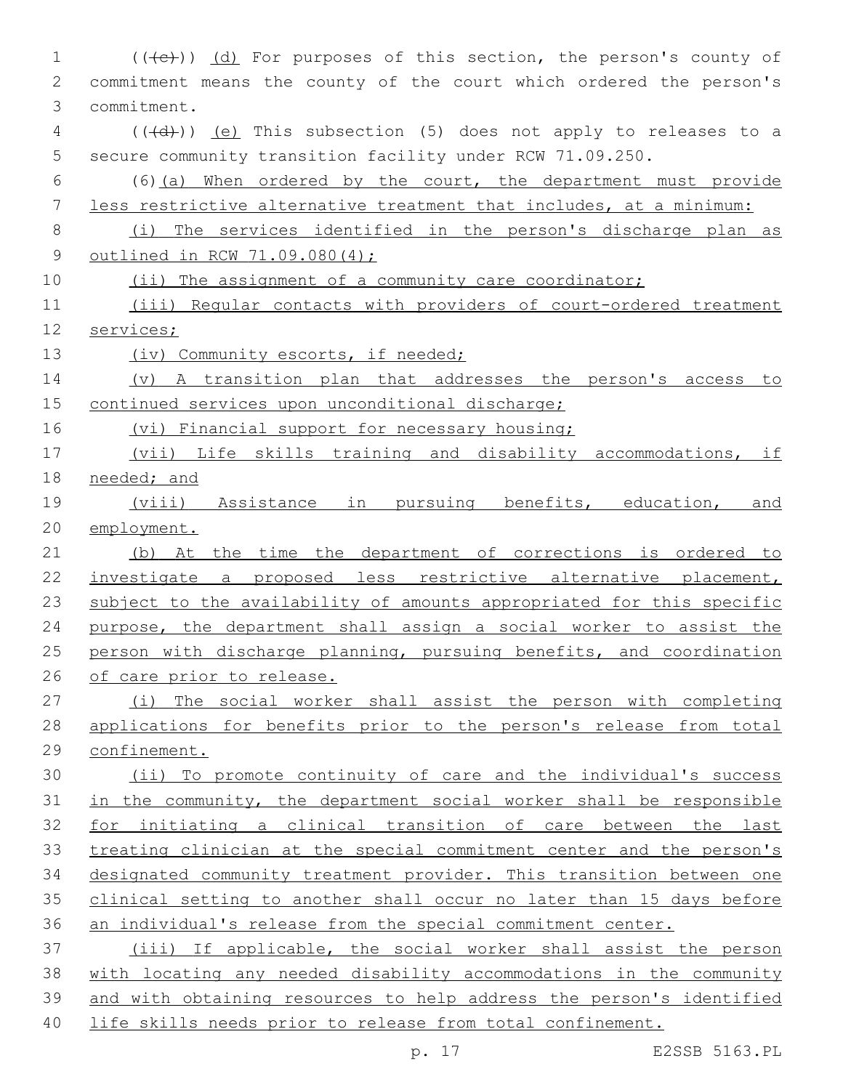1 (((+e))) (d) For purposes of this section, the person's county of commitment means the county of the court which ordered the person's commitment.3 4 (((d))) (e) This subsection (5) does not apply to releases to a secure community transition facility under RCW 71.09.250. (6)(a) When ordered by the court, the department must provide less restrictive alternative treatment that includes, at a minimum: (i) The services identified in the person's discharge plan as outlined in RCW 71.09.080(4); 10 (ii) The assignment of a community care coordinator; (iii) Regular contacts with providers of court-ordered treatment services; 13 (iv) Community escorts, if needed; (v) A transition plan that addresses the person's access to continued services upon unconditional discharge; 16 (vi) Financial support for necessary housing; (vii) Life skills training and disability accommodations, if 18 needed; and (viii) Assistance in pursuing benefits, education, and employment. (b) At the time the department of corrections is ordered to investigate a proposed less restrictive alternative placement, 23 subject to the availability of amounts appropriated for this specific purpose, the department shall assign a social worker to assist the person with discharge planning, pursuing benefits, and coordination of care prior to release. (i) The social worker shall assist the person with completing applications for benefits prior to the person's release from total 29 confinement. (ii) To promote continuity of care and the individual's success in the community, the department social worker shall be responsible for initiating a clinical transition of care between the last treating clinician at the special commitment center and the person's designated community treatment provider. This transition between one clinical setting to another shall occur no later than 15 days before an individual's release from the special commitment center. (iii) If applicable, the social worker shall assist the person with locating any needed disability accommodations in the community and with obtaining resources to help address the person's identified life skills needs prior to release from total confinement.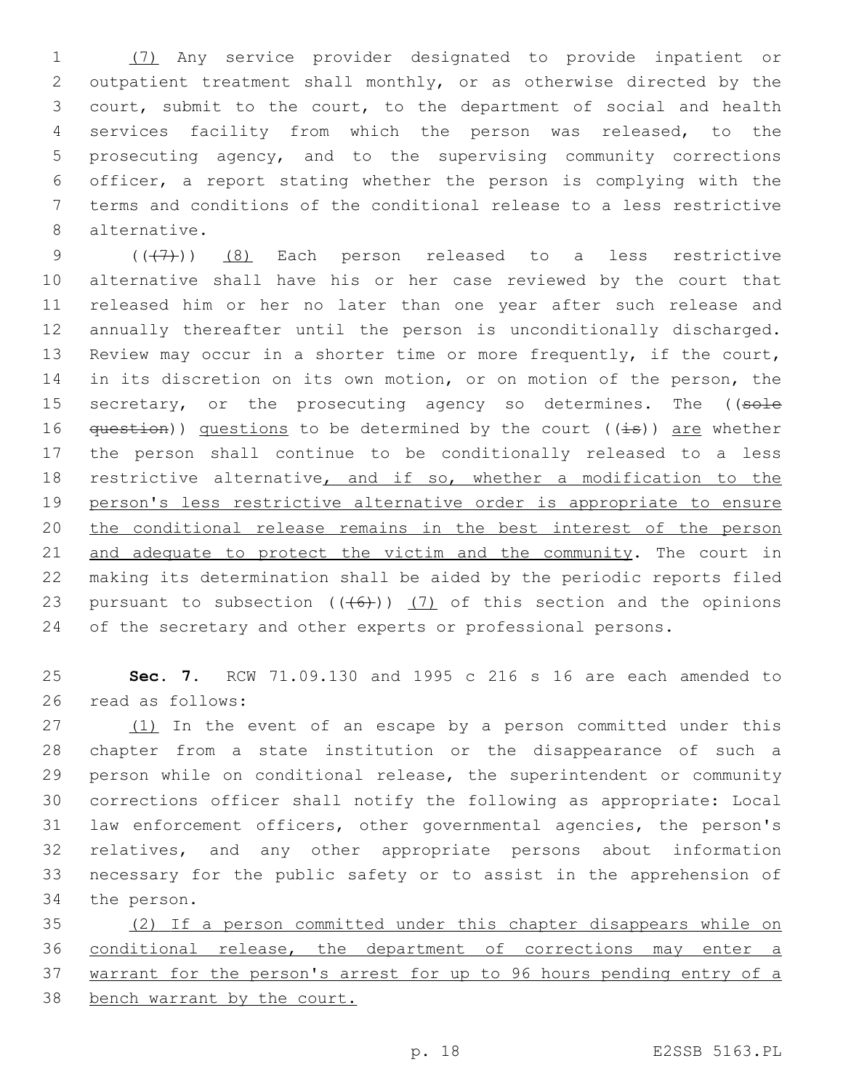(7) Any service provider designated to provide inpatient or outpatient treatment shall monthly, or as otherwise directed by the court, submit to the court, to the department of social and health services facility from which the person was released, to the prosecuting agency, and to the supervising community corrections officer, a report stating whether the person is complying with the terms and conditions of the conditional release to a less restrictive 8 alternative.

 $((+7)$ )  $(8)$  Each person released to a less restrictive alternative shall have his or her case reviewed by the court that released him or her no later than one year after such release and annually thereafter until the person is unconditionally discharged. Review may occur in a shorter time or more frequently, if the court, in its discretion on its own motion, or on motion of the person, the 15 secretary, or the prosecuting agency so determines. The ((sole  $question()$  questions to be determined by the court  $((\pm s))$  are whether the person shall continue to be conditionally released to a less 18 restrictive alternative, and if so, whether a modification to the person's less restrictive alternative order is appropriate to ensure the conditional release remains in the best interest of the person 21 and adequate to protect the victim and the community. The court in making its determination shall be aided by the periodic reports filed 23 pursuant to subsection  $((+6))$   $(7)$  of this section and the opinions 24 of the secretary and other experts or professional persons.

 **Sec. 7.** RCW 71.09.130 and 1995 c 216 s 16 are each amended to 26 read as follows:

27 (1) In the event of an escape by a person committed under this chapter from a state institution or the disappearance of such a person while on conditional release, the superintendent or community corrections officer shall notify the following as appropriate: Local law enforcement officers, other governmental agencies, the person's relatives, and any other appropriate persons about information necessary for the public safety or to assist in the apprehension of 34 the person.

 (2) If a person committed under this chapter disappears while on conditional release, the department of corrections may enter a warrant for the person's arrest for up to 96 hours pending entry of a bench warrant by the court.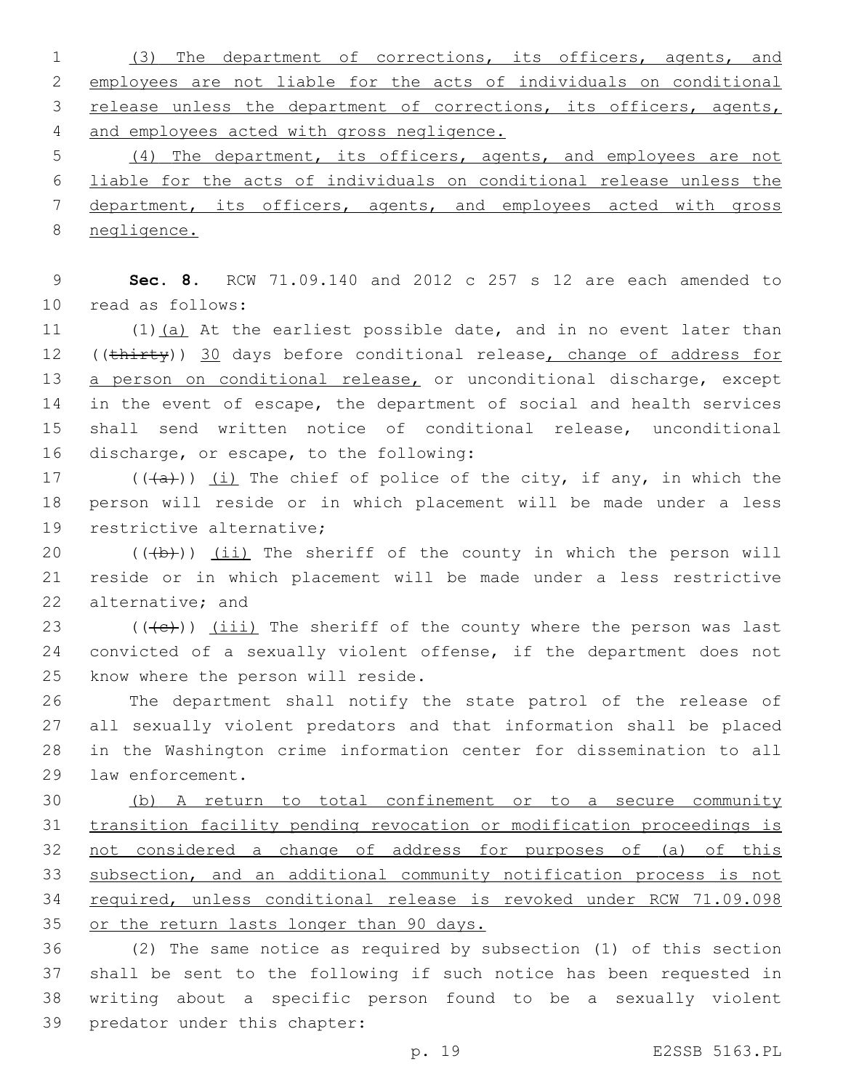(3) The department of corrections, its officers, agents, and employees are not liable for the acts of individuals on conditional 3 release unless the department of corrections, its officers, agents, and employees acted with gross negligence.

 (4) The department, its officers, agents, and employees are not liable for the acts of individuals on conditional release unless the department, its officers, agents, and employees acted with gross negligence.

9 **Sec. 8.** RCW 71.09.140 and 2012 c 257 s 12 are each amended to 10 read as follows:

11  $(1)(a)$  At the earliest possible date, and in no event later than 12 ((thirty)) 30 days before conditional release, change of address for 13 a person on conditional release, or unconditional discharge, except 14 in the event of escape, the department of social and health services 15 shall send written notice of conditional release, unconditional 16 discharge, or escape, to the following:

17  $((+a))$   $(i)$  The chief of police of the city, if any, in which the 18 person will reside or in which placement will be made under a less 19 restrictive alternative;

20  $((+b))$   $(ii)$  The sheriff of the county in which the person will 21 reside or in which placement will be made under a less restrictive 22 alternative; and

23  $((+e))$   $(iii)$  The sheriff of the county where the person was last 24 convicted of a sexually violent offense, if the department does not 25 know where the person will reside.

 The department shall notify the state patrol of the release of all sexually violent predators and that information shall be placed in the Washington crime information center for dissemination to all 29 law enforcement.

 (b) A return to total confinement or to a secure community transition facility pending revocation or modification proceedings is 32 not considered a change of address for purposes of (a) of this subsection, and an additional community notification process is not required, unless conditional release is revoked under RCW 71.09.098 35 or the return lasts longer than 90 days.

 (2) The same notice as required by subsection (1) of this section shall be sent to the following if such notice has been requested in writing about a specific person found to be a sexually violent 39 predator under this chapter: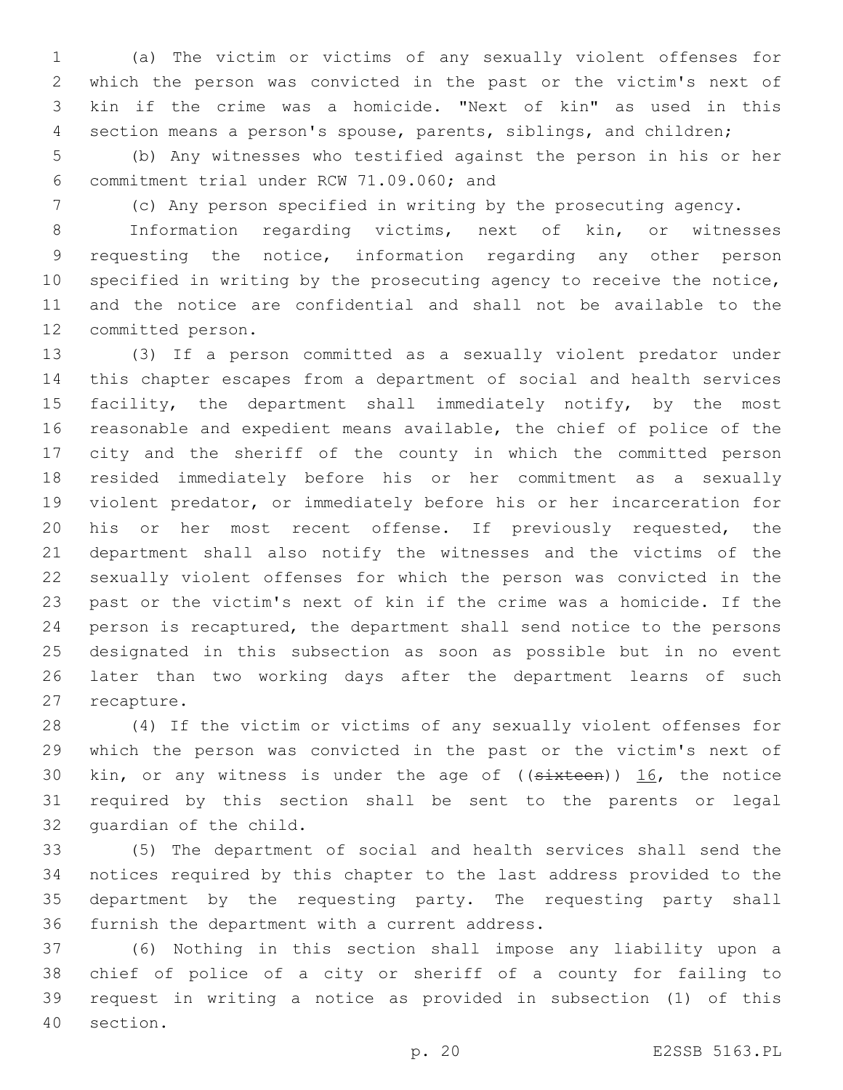(a) The victim or victims of any sexually violent offenses for which the person was convicted in the past or the victim's next of kin if the crime was a homicide. "Next of kin" as used in this section means a person's spouse, parents, siblings, and children;

 (b) Any witnesses who testified against the person in his or her commitment trial under RCW 71.09.060; and6

(c) Any person specified in writing by the prosecuting agency.

 Information regarding victims, next of kin, or witnesses requesting the notice, information regarding any other person specified in writing by the prosecuting agency to receive the notice, and the notice are confidential and shall not be available to the 12 committed person.

 (3) If a person committed as a sexually violent predator under this chapter escapes from a department of social and health services 15 facility, the department shall immediately notify, by the most reasonable and expedient means available, the chief of police of the city and the sheriff of the county in which the committed person resided immediately before his or her commitment as a sexually violent predator, or immediately before his or her incarceration for his or her most recent offense. If previously requested, the department shall also notify the witnesses and the victims of the sexually violent offenses for which the person was convicted in the past or the victim's next of kin if the crime was a homicide. If the person is recaptured, the department shall send notice to the persons designated in this subsection as soon as possible but in no event later than two working days after the department learns of such 27 recapture.

 (4) If the victim or victims of any sexually violent offenses for which the person was convicted in the past or the victim's next of 30 kin, or any witness is under the age of  $((\text{sixteen}))$  16, the notice required by this section shall be sent to the parents or legal 32 quardian of the child.

 (5) The department of social and health services shall send the notices required by this chapter to the last address provided to the department by the requesting party. The requesting party shall 36 furnish the department with a current address.

 (6) Nothing in this section shall impose any liability upon a chief of police of a city or sheriff of a county for failing to request in writing a notice as provided in subsection (1) of this 40 section.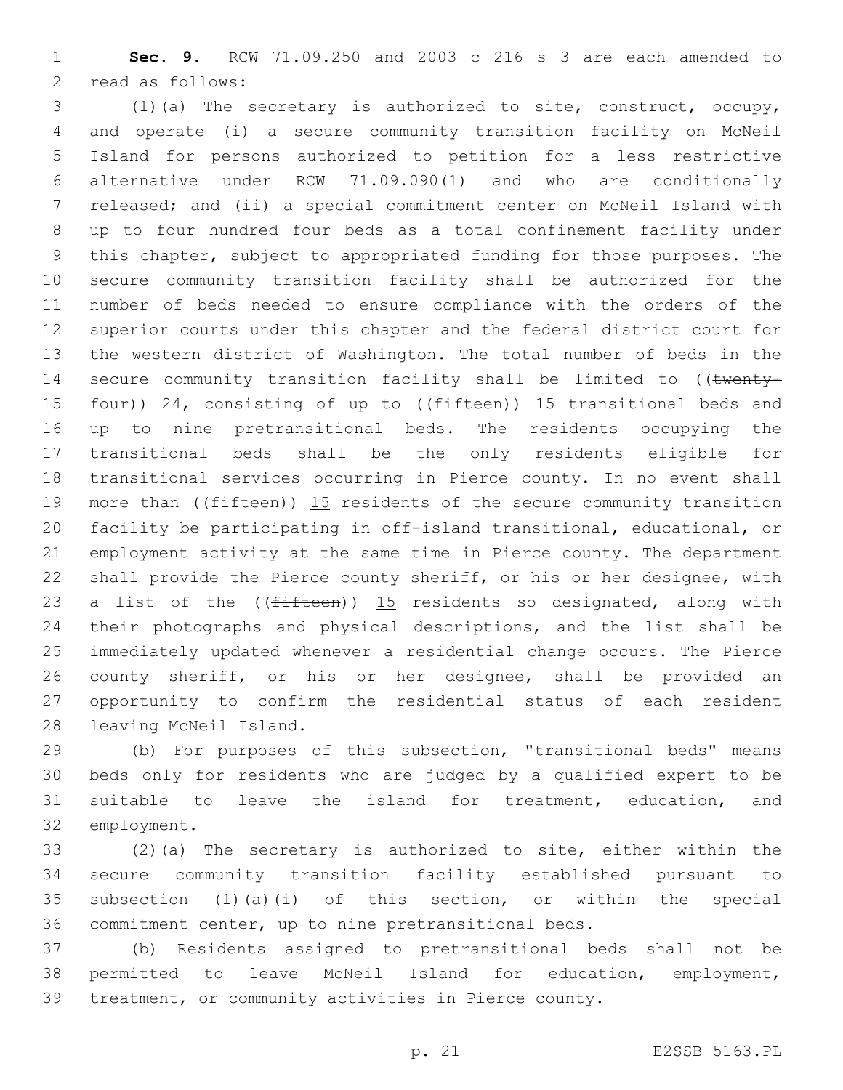**Sec. 9.** RCW 71.09.250 and 2003 c 216 s 3 are each amended to 2 read as follows:

 (1)(a) The secretary is authorized to site, construct, occupy, and operate (i) a secure community transition facility on McNeil Island for persons authorized to petition for a less restrictive alternative under RCW 71.09.090(1) and who are conditionally released; and (ii) a special commitment center on McNeil Island with up to four hundred four beds as a total confinement facility under this chapter, subject to appropriated funding for those purposes. The secure community transition facility shall be authorized for the number of beds needed to ensure compliance with the orders of the superior courts under this chapter and the federal district court for the western district of Washington. The total number of beds in the 14 secure community transition facility shall be limited to ((twenty-15 four)) 24, consisting of up to ((fifteen)) 15 transitional beds and up to nine pretransitional beds. The residents occupying the transitional beds shall be the only residents eligible for transitional services occurring in Pierce county. In no event shall 19 more than ((fifteen)) 15 residents of the secure community transition facility be participating in off-island transitional, educational, or employment activity at the same time in Pierce county. The department shall provide the Pierce county sheriff, or his or her designee, with 23 a list of the  $($ ( $f$ ifteen)) 15 residents so designated, along with their photographs and physical descriptions, and the list shall be immediately updated whenever a residential change occurs. The Pierce county sheriff, or his or her designee, shall be provided an opportunity to confirm the residential status of each resident 28 leaving McNeil Island.

 (b) For purposes of this subsection, "transitional beds" means beds only for residents who are judged by a qualified expert to be suitable to leave the island for treatment, education, and 32 employment.

 (2)(a) The secretary is authorized to site, either within the secure community transition facility established pursuant to subsection (1)(a)(i) of this section, or within the special commitment center, up to nine pretransitional beds.

 (b) Residents assigned to pretransitional beds shall not be permitted to leave McNeil Island for education, employment, treatment, or community activities in Pierce county.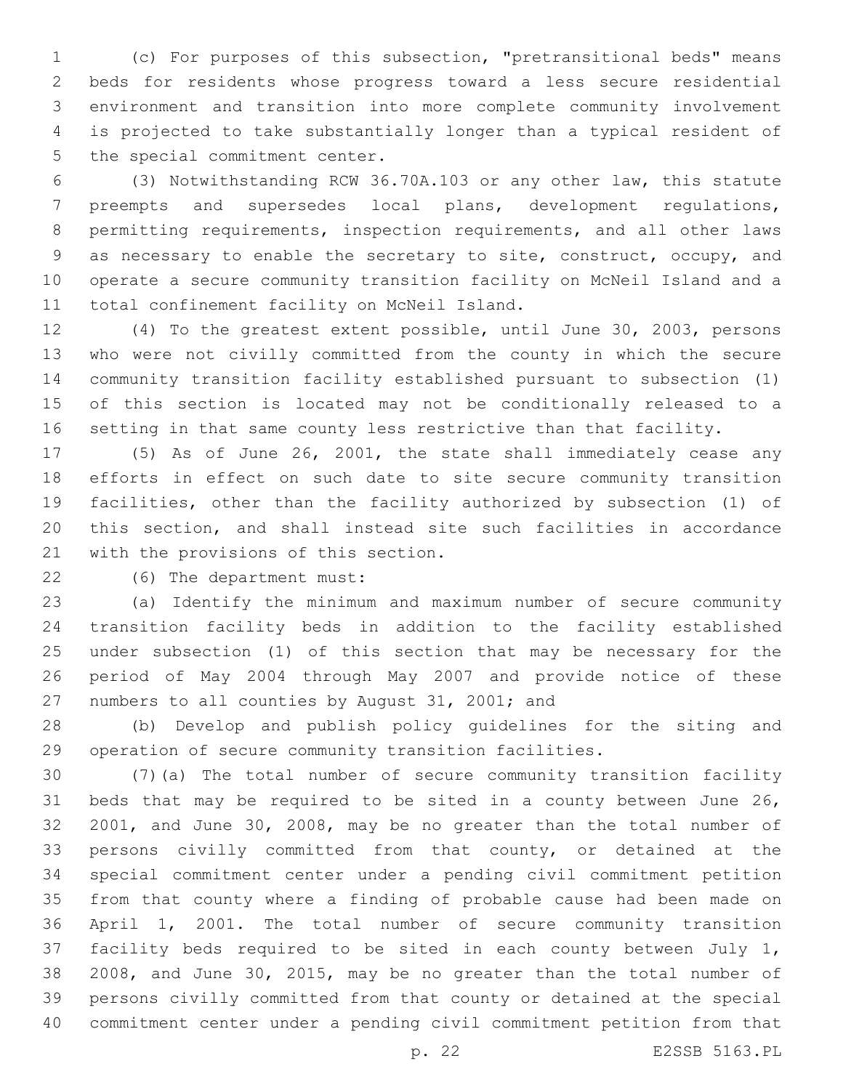(c) For purposes of this subsection, "pretransitional beds" means beds for residents whose progress toward a less secure residential environment and transition into more complete community involvement is projected to take substantially longer than a typical resident of 5 the special commitment center.

 (3) Notwithstanding RCW 36.70A.103 or any other law, this statute preempts and supersedes local plans, development regulations, permitting requirements, inspection requirements, and all other laws as necessary to enable the secretary to site, construct, occupy, and operate a secure community transition facility on McNeil Island and a 11 total confinement facility on McNeil Island.

 (4) To the greatest extent possible, until June 30, 2003, persons who were not civilly committed from the county in which the secure community transition facility established pursuant to subsection (1) of this section is located may not be conditionally released to a setting in that same county less restrictive than that facility.

 (5) As of June 26, 2001, the state shall immediately cease any efforts in effect on such date to site secure community transition facilities, other than the facility authorized by subsection (1) of this section, and shall instead site such facilities in accordance 21 with the provisions of this section.

(6) The department must:22

 (a) Identify the minimum and maximum number of secure community transition facility beds in addition to the facility established under subsection (1) of this section that may be necessary for the period of May 2004 through May 2007 and provide notice of these 27 numbers to all counties by August 31, 2001; and

 (b) Develop and publish policy guidelines for the siting and operation of secure community transition facilities.

 (7)(a) The total number of secure community transition facility beds that may be required to be sited in a county between June 26, 2001, and June 30, 2008, may be no greater than the total number of persons civilly committed from that county, or detained at the special commitment center under a pending civil commitment petition from that county where a finding of probable cause had been made on April 1, 2001. The total number of secure community transition facility beds required to be sited in each county between July 1, 2008, and June 30, 2015, may be no greater than the total number of persons civilly committed from that county or detained at the special commitment center under a pending civil commitment petition from that

p. 22 E2SSB 5163.PL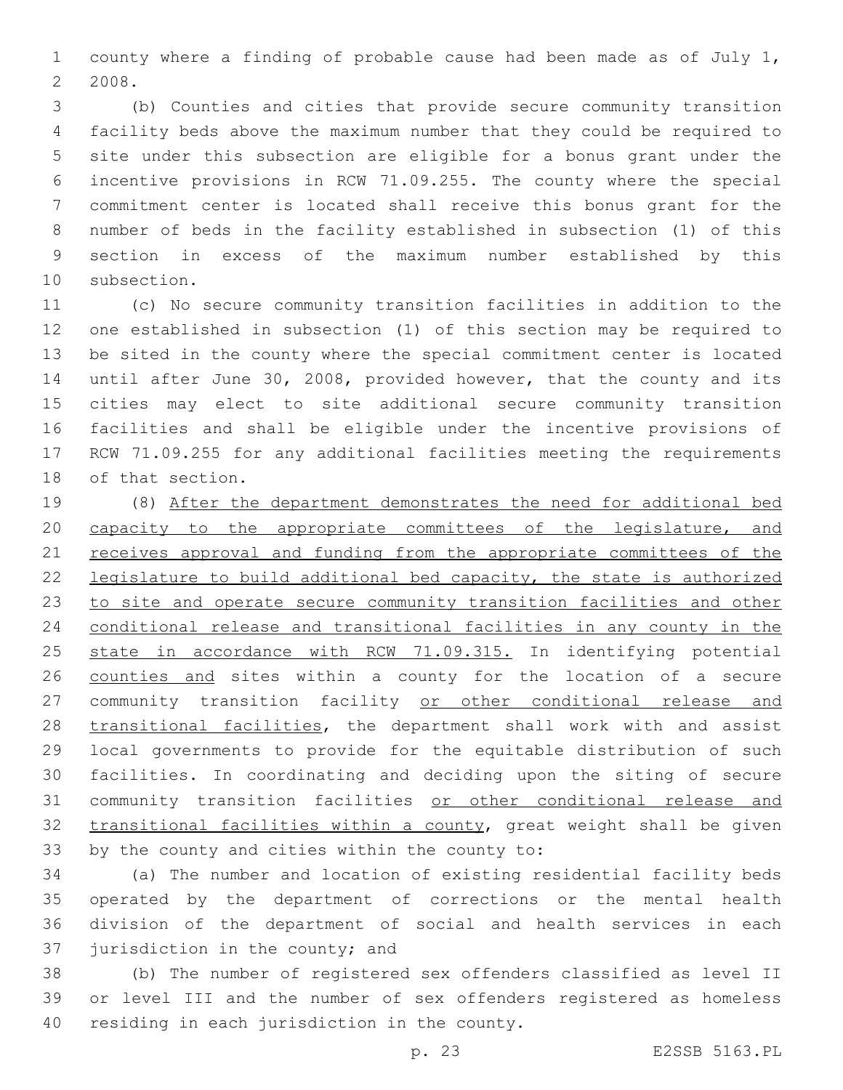county where a finding of probable cause had been made as of July 1, 2008.

 (b) Counties and cities that provide secure community transition facility beds above the maximum number that they could be required to site under this subsection are eligible for a bonus grant under the incentive provisions in RCW 71.09.255. The county where the special commitment center is located shall receive this bonus grant for the number of beds in the facility established in subsection (1) of this section in excess of the maximum number established by this 10 subsection.

 (c) No secure community transition facilities in addition to the one established in subsection (1) of this section may be required to be sited in the county where the special commitment center is located until after June 30, 2008, provided however, that the county and its cities may elect to site additional secure community transition facilities and shall be eligible under the incentive provisions of RCW 71.09.255 for any additional facilities meeting the requirements 18 of that section.

 (8) After the department demonstrates the need for additional bed 20 capacity to the appropriate committees of the legislature, and 21 receives approval and funding from the appropriate committees of the legislature to build additional bed capacity, the state is authorized to site and operate secure community transition facilities and other conditional release and transitional facilities in any county in the state in accordance with RCW 71.09.315. In identifying potential counties and sites within a county for the location of a secure 27 community transition facility or other conditional release and 28 transitional facilities, the department shall work with and assist local governments to provide for the equitable distribution of such facilities. In coordinating and deciding upon the siting of secure community transition facilities or other conditional release and transitional facilities within a county, great weight shall be given 33 by the county and cities within the county to:

 (a) The number and location of existing residential facility beds operated by the department of corrections or the mental health division of the department of social and health services in each jurisdiction in the county; and

 (b) The number of registered sex offenders classified as level II or level III and the number of sex offenders registered as homeless 40 residing in each jurisdiction in the county.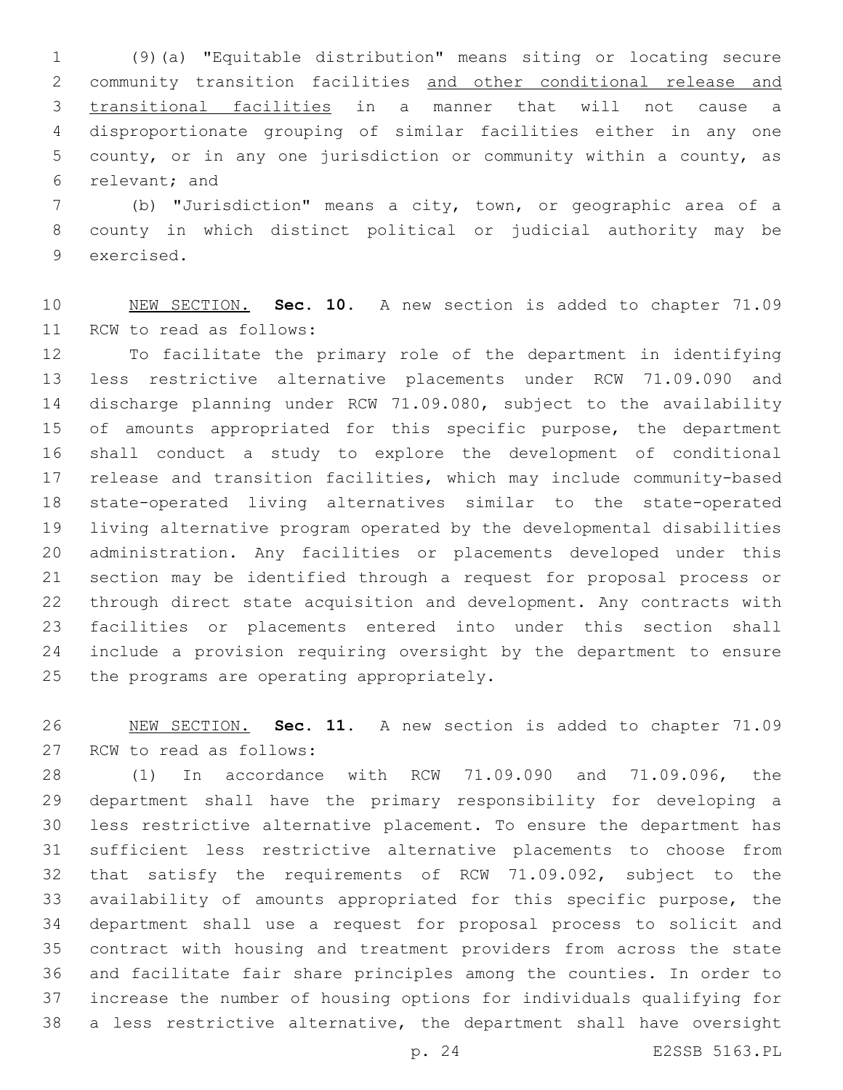(9)(a) "Equitable distribution" means siting or locating secure community transition facilities and other conditional release and transitional facilities in a manner that will not cause a disproportionate grouping of similar facilities either in any one county, or in any one jurisdiction or community within a county, as 6 relevant; and

 (b) "Jurisdiction" means a city, town, or geographic area of a county in which distinct political or judicial authority may be 9 exercised.

 NEW SECTION. **Sec. 10.** A new section is added to chapter 71.09 11 RCW to read as follows:

 To facilitate the primary role of the department in identifying less restrictive alternative placements under RCW 71.09.090 and discharge planning under RCW 71.09.080, subject to the availability 15 of amounts appropriated for this specific purpose, the department shall conduct a study to explore the development of conditional release and transition facilities, which may include community-based state-operated living alternatives similar to the state-operated living alternative program operated by the developmental disabilities administration. Any facilities or placements developed under this section may be identified through a request for proposal process or through direct state acquisition and development. Any contracts with facilities or placements entered into under this section shall include a provision requiring oversight by the department to ensure 25 the programs are operating appropriately.

 NEW SECTION. **Sec. 11.** A new section is added to chapter 71.09 27 RCW to read as follows:

 (1) In accordance with RCW 71.09.090 and 71.09.096, the department shall have the primary responsibility for developing a less restrictive alternative placement. To ensure the department has sufficient less restrictive alternative placements to choose from that satisfy the requirements of RCW 71.09.092, subject to the availability of amounts appropriated for this specific purpose, the department shall use a request for proposal process to solicit and contract with housing and treatment providers from across the state and facilitate fair share principles among the counties. In order to increase the number of housing options for individuals qualifying for a less restrictive alternative, the department shall have oversight

p. 24 E2SSB 5163.PL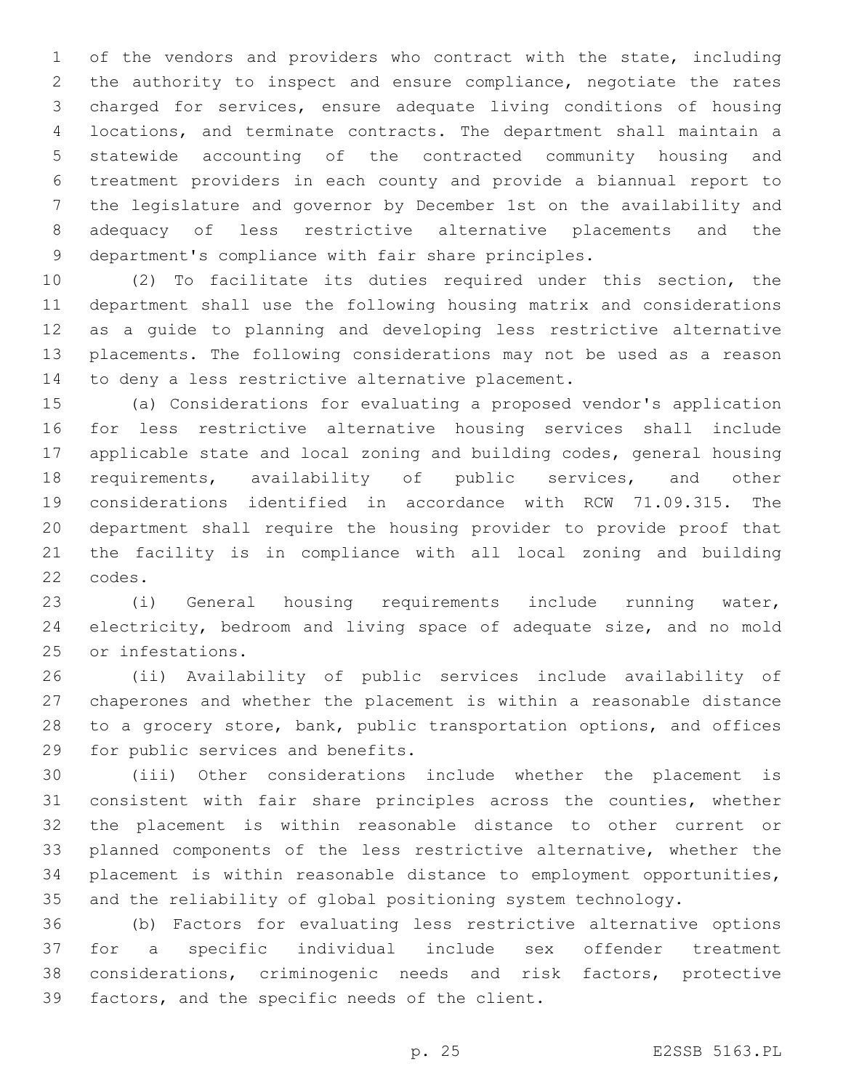of the vendors and providers who contract with the state, including the authority to inspect and ensure compliance, negotiate the rates charged for services, ensure adequate living conditions of housing locations, and terminate contracts. The department shall maintain a statewide accounting of the contracted community housing and treatment providers in each county and provide a biannual report to the legislature and governor by December 1st on the availability and adequacy of less restrictive alternative placements and the department's compliance with fair share principles.

 (2) To facilitate its duties required under this section, the department shall use the following housing matrix and considerations as a guide to planning and developing less restrictive alternative placements. The following considerations may not be used as a reason 14 to deny a less restrictive alternative placement.

 (a) Considerations for evaluating a proposed vendor's application for less restrictive alternative housing services shall include applicable state and local zoning and building codes, general housing requirements, availability of public services, and other considerations identified in accordance with RCW 71.09.315. The department shall require the housing provider to provide proof that the facility is in compliance with all local zoning and building 22 codes.

 (i) General housing requirements include running water, electricity, bedroom and living space of adequate size, and no mold 25 or infestations.

 (ii) Availability of public services include availability of chaperones and whether the placement is within a reasonable distance to a grocery store, bank, public transportation options, and offices 29 for public services and benefits.

 (iii) Other considerations include whether the placement is consistent with fair share principles across the counties, whether the placement is within reasonable distance to other current or planned components of the less restrictive alternative, whether the placement is within reasonable distance to employment opportunities, and the reliability of global positioning system technology.

 (b) Factors for evaluating less restrictive alternative options for a specific individual include sex offender treatment considerations, criminogenic needs and risk factors, protective 39 factors, and the specific needs of the client.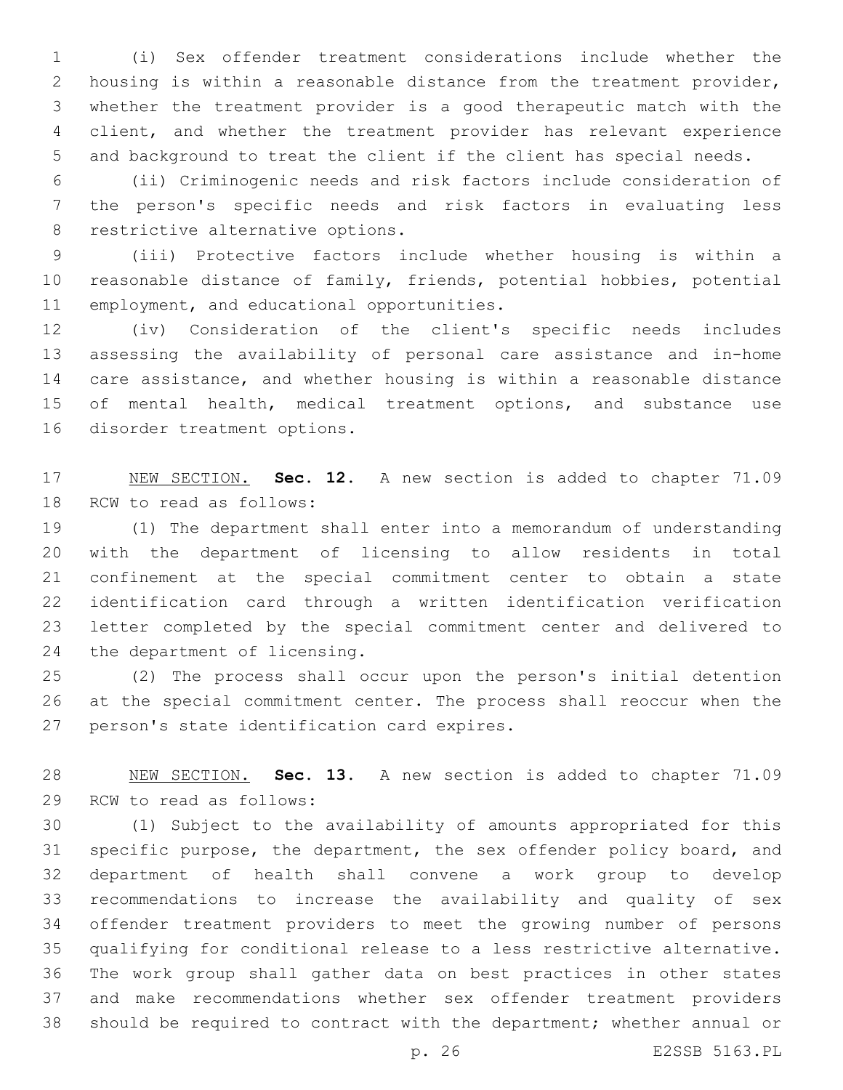(i) Sex offender treatment considerations include whether the housing is within a reasonable distance from the treatment provider, whether the treatment provider is a good therapeutic match with the client, and whether the treatment provider has relevant experience and background to treat the client if the client has special needs.

 (ii) Criminogenic needs and risk factors include consideration of the person's specific needs and risk factors in evaluating less 8 restrictive alternative options.

 (iii) Protective factors include whether housing is within a reasonable distance of family, friends, potential hobbies, potential 11 employment, and educational opportunities.

 (iv) Consideration of the client's specific needs includes assessing the availability of personal care assistance and in-home care assistance, and whether housing is within a reasonable distance 15 of mental health, medical treatment options, and substance use 16 disorder treatment options.

 NEW SECTION. **Sec. 12.** A new section is added to chapter 71.09 18 RCW to read as follows:

 (1) The department shall enter into a memorandum of understanding with the department of licensing to allow residents in total confinement at the special commitment center to obtain a state identification card through a written identification verification letter completed by the special commitment center and delivered to 24 the department of licensing.

 (2) The process shall occur upon the person's initial detention at the special commitment center. The process shall reoccur when the 27 person's state identification card expires.

 NEW SECTION. **Sec. 13.** A new section is added to chapter 71.09 29 RCW to read as follows:

 (1) Subject to the availability of amounts appropriated for this specific purpose, the department, the sex offender policy board, and department of health shall convene a work group to develop recommendations to increase the availability and quality of sex offender treatment providers to meet the growing number of persons qualifying for conditional release to a less restrictive alternative. The work group shall gather data on best practices in other states and make recommendations whether sex offender treatment providers should be required to contract with the department; whether annual or

p. 26 E2SSB 5163.PL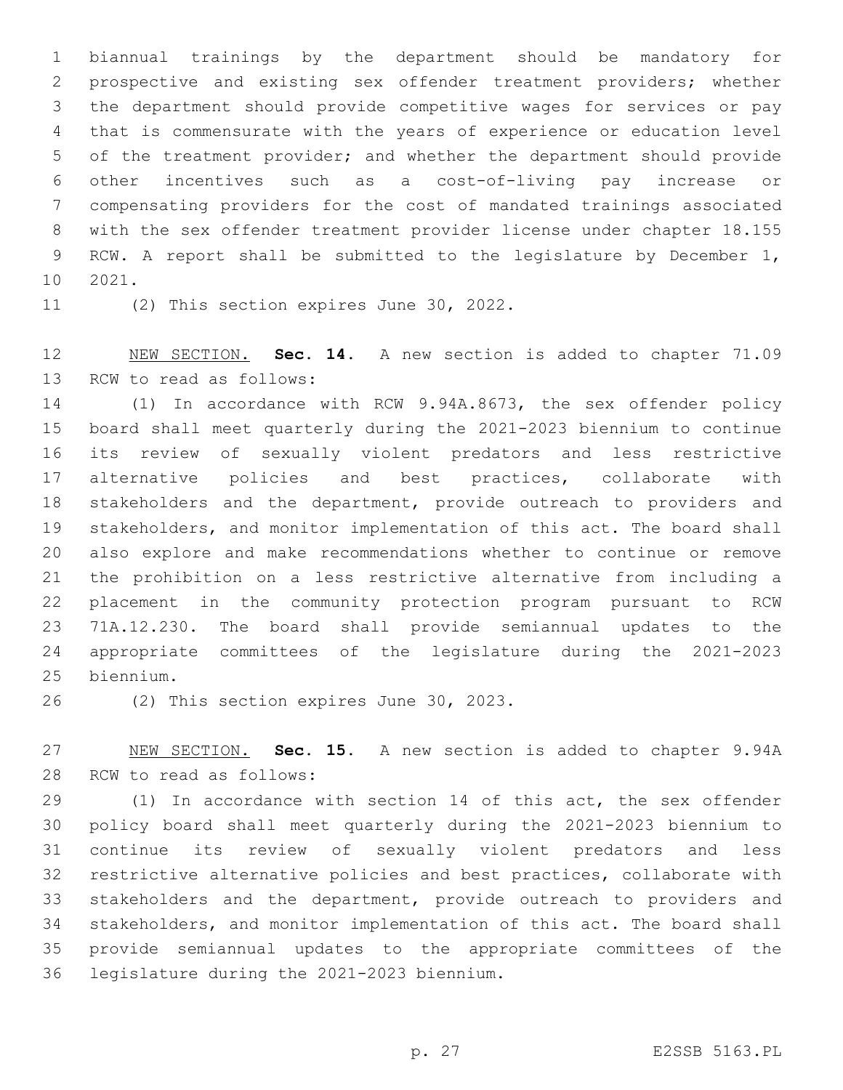biannual trainings by the department should be mandatory for prospective and existing sex offender treatment providers; whether the department should provide competitive wages for services or pay that is commensurate with the years of experience or education level of the treatment provider; and whether the department should provide other incentives such as a cost-of-living pay increase or compensating providers for the cost of mandated trainings associated with the sex offender treatment provider license under chapter 18.155 RCW. A report shall be submitted to the legislature by December 1, 10 2021.

11 (2) This section expires June 30, 2022.

 NEW SECTION. **Sec. 14.** A new section is added to chapter 71.09 13 RCW to read as follows:

 (1) In accordance with RCW 9.94A.8673, the sex offender policy board shall meet quarterly during the 2021-2023 biennium to continue its review of sexually violent predators and less restrictive alternative policies and best practices, collaborate with stakeholders and the department, provide outreach to providers and stakeholders, and monitor implementation of this act. The board shall also explore and make recommendations whether to continue or remove the prohibition on a less restrictive alternative from including a placement in the community protection program pursuant to RCW 71A.12.230. The board shall provide semiannual updates to the appropriate committees of the legislature during the 2021-2023 biennium.25

26 (2) This section expires June 30, 2023.

 NEW SECTION. **Sec. 15.** A new section is added to chapter 9.94A 28 RCW to read as follows:

 (1) In accordance with section 14 of this act, the sex offender policy board shall meet quarterly during the 2021-2023 biennium to continue its review of sexually violent predators and less restrictive alternative policies and best practices, collaborate with stakeholders and the department, provide outreach to providers and stakeholders, and monitor implementation of this act. The board shall provide semiannual updates to the appropriate committees of the 36 legislature during the 2021-2023 biennium.